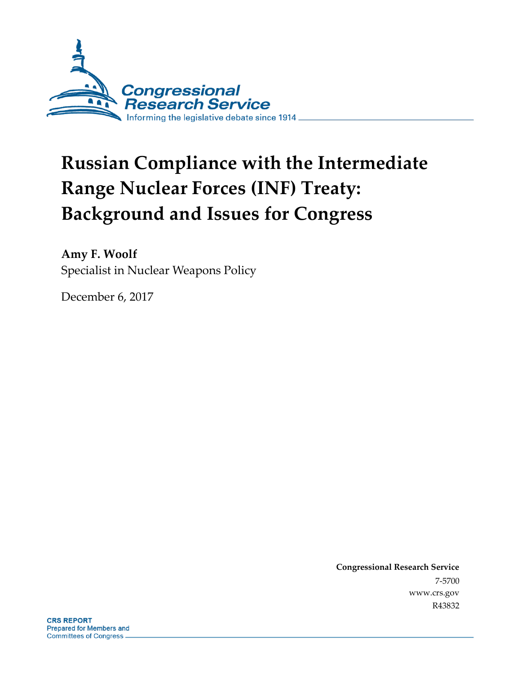

# **Russian Compliance with the Intermediate Range Nuclear Forces (INF) Treaty: Background and Issues for Congress**

**Amy F. Woolf** Specialist in Nuclear Weapons Policy

December 6, 2017

**Congressional Research Service** 7-5700 www.crs.gov R43832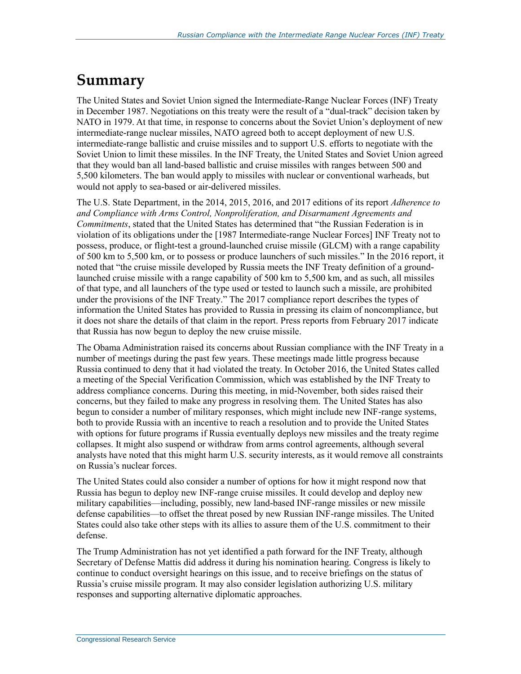## **Summary**

The United States and Soviet Union signed the Intermediate-Range Nuclear Forces (INF) Treaty in December 1987. Negotiations on this treaty were the result of a "dual-track" decision taken by NATO in 1979. At that time, in response to concerns about the Soviet Union's deployment of new intermediate-range nuclear missiles, NATO agreed both to accept deployment of new U.S. intermediate-range ballistic and cruise missiles and to support U.S. efforts to negotiate with the Soviet Union to limit these missiles. In the INF Treaty, the United States and Soviet Union agreed that they would ban all land-based ballistic and cruise missiles with ranges between 500 and 5,500 kilometers. The ban would apply to missiles with nuclear or conventional warheads, but would not apply to sea-based or air-delivered missiles.

The U.S. State Department, in the 2014, 2015, 2016, and 2017 editions of its report *Adherence to and Compliance with Arms Control, Nonproliferation, and Disarmament Agreements and Commitments*, stated that the United States has determined that "the Russian Federation is in violation of its obligations under the [1987 Intermediate-range Nuclear Forces] INF Treaty not to possess, produce, or flight-test a ground-launched cruise missile (GLCM) with a range capability of 500 km to 5,500 km, or to possess or produce launchers of such missiles." In the 2016 report, it noted that "the cruise missile developed by Russia meets the INF Treaty definition of a groundlaunched cruise missile with a range capability of 500 km to 5,500 km, and as such, all missiles of that type, and all launchers of the type used or tested to launch such a missile, are prohibited under the provisions of the INF Treaty." The 2017 compliance report describes the types of information the United States has provided to Russia in pressing its claim of noncompliance, but it does not share the details of that claim in the report. Press reports from February 2017 indicate that Russia has now begun to deploy the new cruise missile.

The Obama Administration raised its concerns about Russian compliance with the INF Treaty in a number of meetings during the past few years. These meetings made little progress because Russia continued to deny that it had violated the treaty. In October 2016, the United States called a meeting of the Special Verification Commission, which was established by the INF Treaty to address compliance concerns. During this meeting, in mid-November, both sides raised their concerns, but they failed to make any progress in resolving them. The United States has also begun to consider a number of military responses, which might include new INF-range systems, both to provide Russia with an incentive to reach a resolution and to provide the United States with options for future programs if Russia eventually deploys new missiles and the treaty regime collapses. It might also suspend or withdraw from arms control agreements, although several analysts have noted that this might harm U.S. security interests, as it would remove all constraints on Russia's nuclear forces.

The United States could also consider a number of options for how it might respond now that Russia has begun to deploy new INF-range cruise missiles. It could develop and deploy new military capabilities—including, possibly, new land-based INF-range missiles or new missile defense capabilities—to offset the threat posed by new Russian INF-range missiles. The United States could also take other steps with its allies to assure them of the U.S. commitment to their defense.

The Trump Administration has not yet identified a path forward for the INF Treaty, although Secretary of Defense Mattis did address it during his nomination hearing. Congress is likely to continue to conduct oversight hearings on this issue, and to receive briefings on the status of Russia's cruise missile program. It may also consider legislation authorizing U.S. military responses and supporting alternative diplomatic approaches.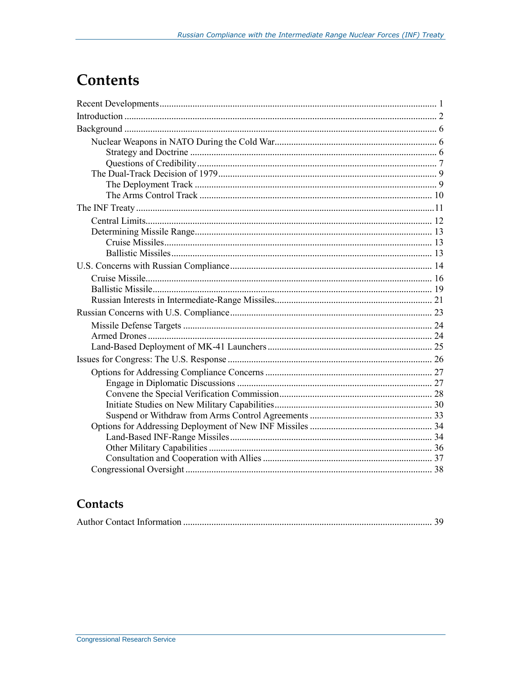## **Contents**

## Contacts

|--|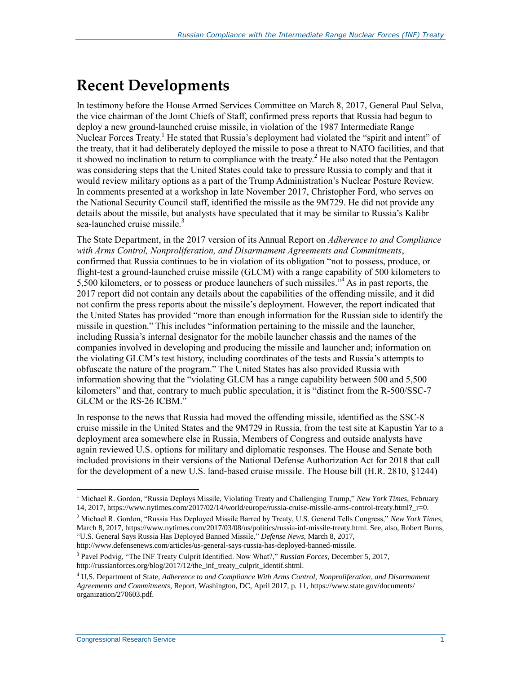## **Recent Developments**

In testimony before the House Armed Services Committee on March 8, 2017, General Paul Selva, the vice chairman of the Joint Chiefs of Staff, confirmed press reports that Russia had begun to deploy a new ground-launched cruise missile, in violation of the 1987 Intermediate Range Nuclear Forces Treaty.<sup>1</sup> He stated that Russia's deployment had violated the "spirit and intent" of the treaty, that it had deliberately deployed the missile to pose a threat to NATO facilities, and that it showed no inclination to return to compliance with the treaty.<sup>2</sup> He also noted that the Pentagon was considering steps that the United States could take to pressure Russia to comply and that it would review military options as a part of the Trump Administration's Nuclear Posture Review. In comments presented at a workshop in late November 2017, Christopher Ford, who serves on the National Security Council staff, identified the missile as the 9M729. He did not provide any details about the missile, but analysts have speculated that it may be similar to Russia's Kalibr sea-launched cruise missile.<sup>3</sup>

The State Department, in the 2017 version of its Annual Report on *Adherence to and Compliance with Arms Control, Nonproliferation, and Disarmament Agreements and Commitments*, confirmed that Russia continues to be in violation of its obligation "not to possess, produce, or flight-test a ground-launched cruise missile (GLCM) with a range capability of 500 kilometers to 5,500 kilometers, or to possess or produce launchers of such missiles."<sup>4</sup> As in past reports, the 2017 report did not contain any details about the capabilities of the offending missile, and it did not confirm the press reports about the missile's deployment. However, the report indicated that the United States has provided "more than enough information for the Russian side to identify the missile in question." This includes "information pertaining to the missile and the launcher, including Russia's internal designator for the mobile launcher chassis and the names of the companies involved in developing and producing the missile and launcher and; information on the violating GLCM's test history, including coordinates of the tests and Russia's attempts to obfuscate the nature of the program." The United States has also provided Russia with information showing that the "violating GLCM has a range capability between 500 and 5,500 kilometers" and that, contrary to much public speculation, it is "distinct from the R-500/SSC-7 GLCM or the RS-26 ICBM."

In response to the news that Russia had moved the offending missile, identified as the SSC-8 cruise missile in the United States and the 9M729 in Russia, from the test site at Kapustin Yar to a deployment area somewhere else in Russia, Members of Congress and outside analysts have again reviewed U.S. options for military and diplomatic responses. The House and Senate both included provisions in their versions of the National Defense Authorization Act for 2018 that call for the development of a new U.S. land-based cruise missile. The House bill (H.R. 2810, §1244)

 $\overline{a}$ <sup>1</sup> Michael R. Gordon, "Russia Deploys Missile, Violating Treaty and Challenging Trump," *New York Times*, February 14, 2017, https://www.nytimes.com/2017/02/14/world/europe/russia-cruise-missile-arms-control-treaty.html?\_r=0.

<sup>2</sup> Michael R. Gordon, "Russia Has Deployed Missile Barred by Treaty, U.S. General Tells Congress," *New York Times*, March 8, 2017, https://www.nytimes.com/2017/03/08/us/politics/russia-inf-missile-treaty.html. See, also, Robert Burns, "U.S. General Says Russia Has Deployed Banned Missile," *Defense News*, March 8, 2017, http://www.defensenews.com/articles/us-general-says-russia-has-deployed-banned-missile.

<sup>3</sup> Pavel Podvig, "The INF Treaty Culprit Identified. Now What?," *Russian Forces*, December 5, 2017, http://russianforces.org/blog/2017/12/the\_inf\_treaty\_culprit\_identif.shtml.

<sup>4</sup> U,S. Department of State, *Adherence to and Compliance With Arms Control, Nonproliferation, and Disarmament Agreements and Commitments*, Report, Washington, DC, April 2017, p. 11, https://www.state.gov/documents/ organization/270603.pdf.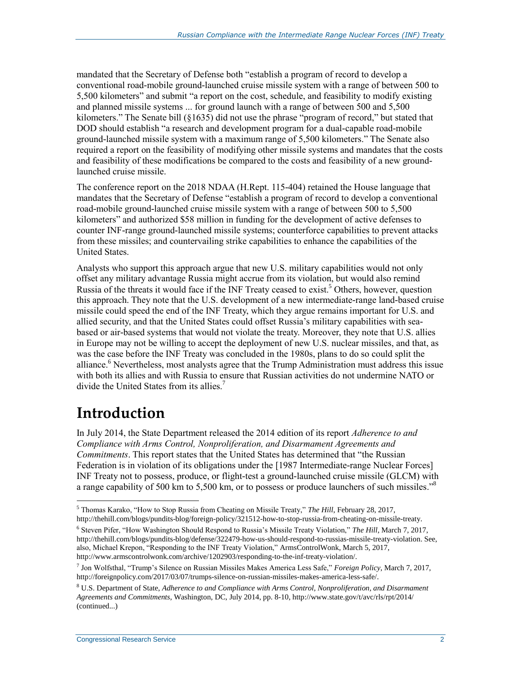mandated that the Secretary of Defense both "establish a program of record to develop a conventional road-mobile ground-launched cruise missile system with a range of between 500 to 5,500 kilometers" and submit "a report on the cost, schedule, and feasibility to modify existing and planned missile systems ... for ground launch with a range of between 500 and 5,500 kilometers." The Senate bill (§1635) did not use the phrase "program of record," but stated that DOD should establish "a research and development program for a dual-capable road-mobile ground-launched missile system with a maximum range of 5,500 kilometers." The Senate also required a report on the feasibility of modifying other missile systems and mandates that the costs and feasibility of these modifications be compared to the costs and feasibility of a new groundlaunched cruise missile.

The conference report on the 2018 NDAA (H.Rept. 115-404) retained the House language that mandates that the Secretary of Defense "establish a program of record to develop a conventional road-mobile ground-launched cruise missile system with a range of between 500 to 5,500 kilometers" and authorized \$58 million in funding for the development of active defenses to counter INF-range ground-launched missile systems; counterforce capabilities to prevent attacks from these missiles; and countervailing strike capabilities to enhance the capabilities of the United States.

Analysts who support this approach argue that new U.S. military capabilities would not only offset any military advantage Russia might accrue from its violation, but would also remind Russia of the threats it would face if the INF Treaty ceased to exist.<sup>5</sup> Others, however, question this approach. They note that the U.S. development of a new intermediate-range land-based cruise missile could speed the end of the INF Treaty, which they argue remains important for U.S. and allied security, and that the United States could offset Russia's military capabilities with seabased or air-based systems that would not violate the treaty. Moreover, they note that U.S. allies in Europe may not be willing to accept the deployment of new U.S. nuclear missiles, and that, as was the case before the INF Treaty was concluded in the 1980s, plans to do so could split the alliance.<sup>6</sup> Nevertheless, most analysts agree that the Trump Administration must address this issue with both its allies and with Russia to ensure that Russian activities do not undermine NATO or divide the United States from its allies.<sup>7</sup>

## **Introduction**

 $\overline{a}$ 

In July 2014, the State Department released the 2014 edition of its report *Adherence to and Compliance with Arms Control, Nonproliferation, and Disarmament Agreements and Commitments*. This report states that the United States has determined that "the Russian Federation is in violation of its obligations under the [1987 Intermediate-range Nuclear Forces] INF Treaty not to possess, produce, or flight-test a ground-launched cruise missile (GLCM) with a range capability of 500 km to 5,500 km, or to possess or produce launchers of such missiles."<sup>8</sup>

<sup>5</sup> Thomas Karako, "How to Stop Russia from Cheating on Missile Treaty," *The Hill*, February 28, 2017, http://thehill.com/blogs/pundits-blog/foreign-policy/321512-how-to-stop-russia-from-cheating-on-missile-treaty.

<sup>6</sup> Steven Pifer, "How Washington Should Respond to Russia's Missile Treaty Violation," *The Hill*, March 7, 2017, http://thehill.com/blogs/pundits-blog/defense/322479-how-us-should-respond-to-russias-missile-treaty-violation. See, also, Michael Krepon, "Responding to the INF Treaty Violation," ArmsControlWonk, March 5, 2017, http://www.armscontrolwonk.com/archive/1202903/responding-to-the-inf-treaty-violation/.

<sup>7</sup> Jon Wolfsthal, "Trump's Silence on Russian Missiles Makes America Less Safe," *Foreign Policy*, March 7, 2017, http://foreignpolicy.com/2017/03/07/trumps-silence-on-russian-missiles-makes-america-less-safe/.

<sup>8</sup> U.S. Department of State, *Adherence to and Compliance with Arms Control, Nonproliferation, and Disarmament Agreements and Commitments*, Washington, DC, July 2014, pp. 8-10, http://www.state.gov/t/avc/rls/rpt/2014/ (continued...)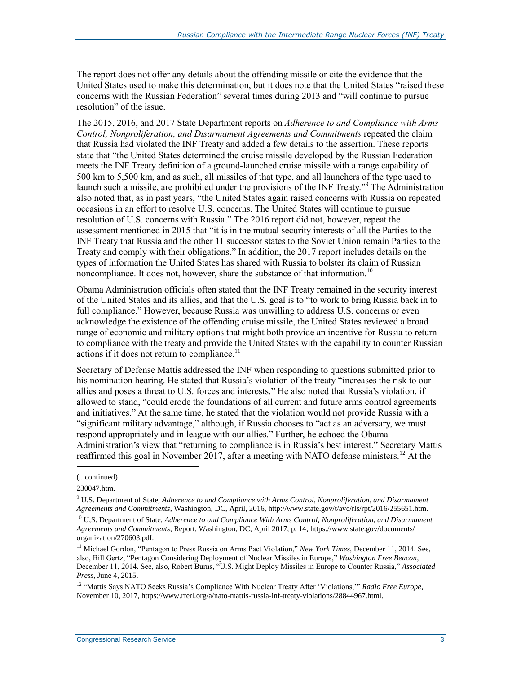The report does not offer any details about the offending missile or cite the evidence that the United States used to make this determination, but it does note that the United States "raised these concerns with the Russian Federation" several times during 2013 and "will continue to pursue resolution" of the issue.

The 2015, 2016, and 2017 State Department reports on *Adherence to and Compliance with Arms Control, Nonproliferation, and Disarmament Agreements and Commitments* repeated the claim that Russia had violated the INF Treaty and added a few details to the assertion. These reports state that "the United States determined the cruise missile developed by the Russian Federation meets the INF Treaty definition of a ground-launched cruise missile with a range capability of 500 km to 5,500 km, and as such, all missiles of that type, and all launchers of the type used to launch such a missile, are prohibited under the provisions of the INF Treaty."<sup>9</sup> The Administration also noted that, as in past years, "the United States again raised concerns with Russia on repeated occasions in an effort to resolve U.S. concerns. The United States will continue to pursue resolution of U.S. concerns with Russia." The 2016 report did not, however, repeat the assessment mentioned in 2015 that "it is in the mutual security interests of all the Parties to the INF Treaty that Russia and the other 11 successor states to the Soviet Union remain Parties to the Treaty and comply with their obligations." In addition, the 2017 report includes details on the types of information the United States has shared with Russia to bolster its claim of Russian noncompliance. It does not, however, share the substance of that information.<sup>10</sup>

Obama Administration officials often stated that the INF Treaty remained in the security interest of the United States and its allies, and that the U.S. goal is to "to work to bring Russia back in to full compliance." However, because Russia was unwilling to address U.S. concerns or even acknowledge the existence of the offending cruise missile, the United States reviewed a broad range of economic and military options that might both provide an incentive for Russia to return to compliance with the treaty and provide the United States with the capability to counter Russian actions if it does not return to compliance.<sup>11</sup>

Secretary of Defense Mattis addressed the INF when responding to questions submitted prior to his nomination hearing. He stated that Russia's violation of the treaty "increases the risk to our allies and poses a threat to U.S. forces and interests." He also noted that Russia's violation, if allowed to stand, "could erode the foundations of all current and future arms control agreements and initiatives." At the same time, he stated that the violation would not provide Russia with a "significant military advantage," although, if Russia chooses to "act as an adversary, we must respond appropriately and in league with our allies." Further, he echoed the Obama Administration's view that "returning to compliance is in Russia's best interest." Secretary Mattis reaffirmed this goal in November 2017, after a meeting with NATO defense ministers.<sup>12</sup> At the

<sup>(...</sup>continued)

<sup>230047.</sup>htm.

<sup>9</sup> U.S. Department of State, *Adherence to and Compliance with Arms Control, Nonproliferation, and Disarmament Agreements and Commitments*, Washington, DC, April, 2016, http://www.state.gov/t/avc/rls/rpt/2016/255651.htm.

<sup>10</sup> U,S. Department of State, *Adherence to and Compliance With Arms Control, Nonproliferation, and Disarmament Agreements and Commitments*, Report, Washington, DC, April 2017, p. 14, https://www.state.gov/documents/ organization/270603.pdf.

<sup>&</sup>lt;sup>11</sup> Michael Gordon, "Pentagon to Press Russia on Arms Pact Violation," *New York Times*, December 11, 2014. See, also, Bill Gertz, "Pentagon Considering Deployment of Nuclear Missiles in Europe," *Washington Free Beacon,*  December 11, 2014. See, also, Robert Burns, "U.S. Might Deploy Missiles in Europe to Counter Russia," *Associated Press*, June 4, 2015.

<sup>12</sup> "Mattis Says NATO Seeks Russia's Compliance With Nuclear Treaty After 'Violations,'" *Radio Free Europe*, November 10, 2017, https://www.rferl.org/a/nato-mattis-russia-inf-treaty-violations/28844967.html.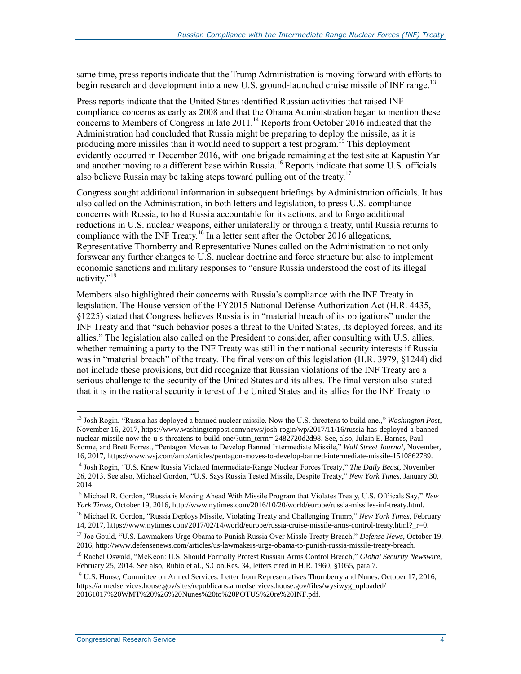same time, press reports indicate that the Trump Administration is moving forward with efforts to begin research and development into a new U.S. ground-launched cruise missile of INF range.<sup>13</sup>

Press reports indicate that the United States identified Russian activities that raised INF compliance concerns as early as 2008 and that the Obama Administration began to mention these concerns to Members of Congress in late  $2011$ .<sup>14</sup> Reports from October 2016 indicated that the Administration had concluded that Russia might be preparing to deploy the missile, as it is producing more missiles than it would need to support a test program.<sup>15</sup> This deployment evidently occurred in December 2016, with one brigade remaining at the test site at Kapustin Yar and another moving to a different base within Russia.<sup>16</sup> Reports indicate that some U.S. officials also believe Russia may be taking steps toward pulling out of the treaty.<sup>17</sup>

Congress sought additional information in subsequent briefings by Administration officials. It has also called on the Administration, in both letters and legislation, to press U.S. compliance concerns with Russia, to hold Russia accountable for its actions, and to forgo additional reductions in U.S. nuclear weapons, either unilaterally or through a treaty, until Russia returns to compliance with the INF Treaty.<sup>18</sup> In a letter sent after the October 2016 allegations, Representative Thornberry and Representative Nunes called on the Administration to not only forswear any further changes to U.S. nuclear doctrine and force structure but also to implement economic sanctions and military responses to "ensure Russia understood the cost of its illegal activity."<sup>19</sup>

Members also highlighted their concerns with Russia's compliance with the INF Treaty in legislation. The House version of the FY2015 National Defense Authorization Act (H.R. 4435, §1225) stated that Congress believes Russia is in "material breach of its obligations" under the INF Treaty and that "such behavior poses a threat to the United States, its deployed forces, and its allies." The legislation also called on the President to consider, after consulting with U.S. allies, whether remaining a party to the INF Treaty was still in their national security interests if Russia was in "material breach" of the treaty. The final version of this legislation (H.R. 3979, §1244) did not include these provisions, but did recognize that Russian violations of the INF Treaty are a serious challenge to the security of the United States and its allies. The final version also stated that it is in the national security interest of the United States and its allies for the INF Treaty to

<sup>13</sup> Josh Rogin, "Russia has deployed a banned nuclear missile. Now the U.S. threatens to build one.," *Washington Post*, November 16, 2017, https://www.washingtonpost.com/news/josh-rogin/wp/2017/11/16/russia-has-deployed-a-bannednuclear-missile-now-the-u-s-threatens-to-build-one/?utm\_term=.2482720d2d98. See, also, Julain E. Barnes, Paul Sonne, and Brett Forrest, "Pentagon Moves to Develop Banned Intermediate Missile," *Wall Street Journal,* November, 16, 2017, https://www.wsj.com/amp/articles/pentagon-moves-to-develop-banned-intermediate-missile-1510862789.

<sup>14</sup> Josh Rogin, "U.S. Knew Russia Violated Intermediate-Range Nuclear Forces Treaty," *The Daily Beast*, November 26, 2013. See also, Michael Gordon, "U.S. Says Russia Tested Missile, Despite Treaty," *New York Times*, January 30, 2014.

<sup>15</sup> Michael R. Gordon, "Russia is Moving Ahead With Missile Program that Violates Treaty, U.S. Offiicals Say," *New York Times*, October 19, 2016, http://www.nytimes.com/2016/10/20/world/europe/russia-missiles-inf-treaty.html.

<sup>16</sup> Michael R. Gordon, "Russia Deploys Missile, Violating Treaty and Challenging Trump," *New York Times*, February 14, 2017, https://www.nytimes.com/2017/02/14/world/europe/russia-cruise-missile-arms-control-treaty.html?\_r=0.

<sup>17</sup> Joe Gould, "U.S. Lawmakers Urge Obama to Punish Russia Over Missle Treaty Breach," *Defense News*, October 19, 2016, http://www.defensenews.com/articles/us-lawmakers-urge-obama-to-punish-russia-missile-treaty-breach.

<sup>18</sup> Rachel Oswald, "McKeon: U.S. Should Formally Protest Russian Arms Control Breach," *Global Security Newswire*, February 25, 2014. See also, Rubio et al., S.Con.Res. 34, letters cited in H.R. 1960, §1055, para 7.

<sup>&</sup>lt;sup>19</sup> U.S. House, Committee on Armed Services. Letter from Representatives Thornberry and Nunes. October 17, 2016, https://armedservices.house.gov/sites/republicans.armedservices.house.gov/files/wysiwyg\_uploaded/ 20161017%20WMT%20%26%20Nunes%20to%20POTUS%20re%20INF.pdf.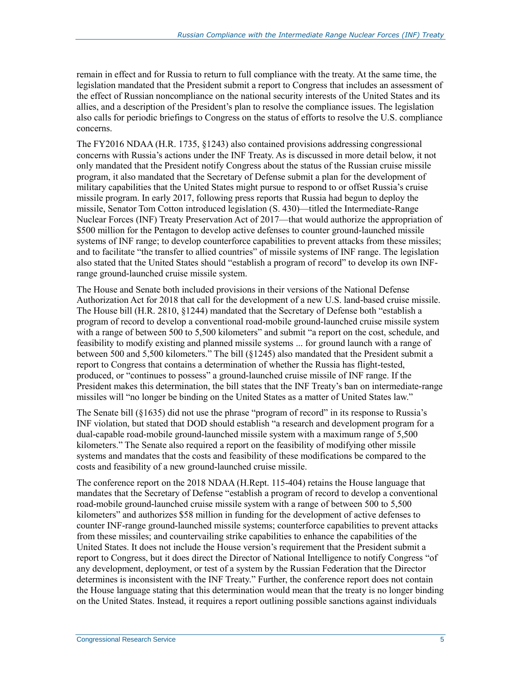remain in effect and for Russia to return to full compliance with the treaty. At the same time, the legislation mandated that the President submit a report to Congress that includes an assessment of the effect of Russian noncompliance on the national security interests of the United States and its allies, and a description of the President's plan to resolve the compliance issues. The legislation also calls for periodic briefings to Congress on the status of efforts to resolve the U.S. compliance concerns.

The FY2016 NDAA (H.R. 1735, §1243) also contained provisions addressing congressional concerns with Russia's actions under the INF Treaty. As is discussed in more detail below, it not only mandated that the President notify Congress about the status of the Russian cruise missile program, it also mandated that the Secretary of Defense submit a plan for the development of military capabilities that the United States might pursue to respond to or offset Russia's cruise missile program. In early 2017, following press reports that Russia had begun to deploy the missile, Senator Tom Cotton introduced legislation (S. 430)—titled the Intermediate-Range Nuclear Forces (INF) Treaty Preservation Act of 2017—that would authorize the appropriation of \$500 million for the Pentagon to develop active defenses to counter ground-launched missile systems of INF range; to develop counterforce capabilities to prevent attacks from these missiles; and to facilitate "the transfer to allied countries" of missile systems of INF range. The legislation also stated that the United States should "establish a program of record" to develop its own INFrange ground-launched cruise missile system.

The House and Senate both included provisions in their versions of the National Defense Authorization Act for 2018 that call for the development of a new U.S. land-based cruise missile. The House bill (H.R. 2810, §1244) mandated that the Secretary of Defense both "establish a program of record to develop a conventional road-mobile ground-launched cruise missile system with a range of between 500 to 5,500 kilometers" and submit "a report on the cost, schedule, and feasibility to modify existing and planned missile systems ... for ground launch with a range of between 500 and 5,500 kilometers." The bill (§1245) also mandated that the President submit a report to Congress that contains a determination of whether the Russia has flight-tested, produced, or "continues to possess" a ground-launched cruise missile of INF range. If the President makes this determination, the bill states that the INF Treaty's ban on intermediate-range missiles will "no longer be binding on the United States as a matter of United States law."

The Senate bill (§1635) did not use the phrase "program of record" in its response to Russia's INF violation, but stated that DOD should establish "a research and development program for a dual-capable road-mobile ground-launched missile system with a maximum range of 5,500 kilometers." The Senate also required a report on the feasibility of modifying other missile systems and mandates that the costs and feasibility of these modifications be compared to the costs and feasibility of a new ground-launched cruise missile.

The conference report on the 2018 NDAA (H.Rept. 115-404) retains the House language that mandates that the Secretary of Defense "establish a program of record to develop a conventional road-mobile ground-launched cruise missile system with a range of between 500 to 5,500 kilometers" and authorizes \$58 million in funding for the development of active defenses to counter INF-range ground-launched missile systems; counterforce capabilities to prevent attacks from these missiles; and countervailing strike capabilities to enhance the capabilities of the United States. It does not include the House version's requirement that the President submit a report to Congress, but it does direct the Director of National Intelligence to notify Congress "of any development, deployment, or test of a system by the Russian Federation that the Director determines is inconsistent with the INF Treaty." Further, the conference report does not contain the House language stating that this determination would mean that the treaty is no longer binding on the United States. Instead, it requires a report outlining possible sanctions against individuals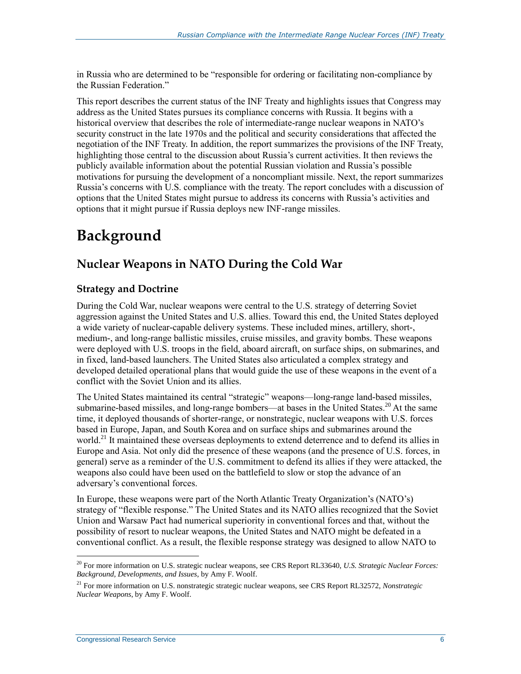in Russia who are determined to be "responsible for ordering or facilitating non-compliance by the Russian Federation."

This report describes the current status of the INF Treaty and highlights issues that Congress may address as the United States pursues its compliance concerns with Russia. It begins with a historical overview that describes the role of intermediate-range nuclear weapons in NATO's security construct in the late 1970s and the political and security considerations that affected the negotiation of the INF Treaty. In addition, the report summarizes the provisions of the INF Treaty, highlighting those central to the discussion about Russia's current activities. It then reviews the publicly available information about the potential Russian violation and Russia's possible motivations for pursuing the development of a noncompliant missile. Next, the report summarizes Russia's concerns with U.S. compliance with the treaty. The report concludes with a discussion of options that the United States might pursue to address its concerns with Russia's activities and options that it might pursue if Russia deploys new INF-range missiles.

## **Background**

## **Nuclear Weapons in NATO During the Cold War**

#### **Strategy and Doctrine**

During the Cold War, nuclear weapons were central to the U.S. strategy of deterring Soviet aggression against the United States and U.S. allies. Toward this end, the United States deployed a wide variety of nuclear-capable delivery systems. These included mines, artillery, short-, medium-, and long-range ballistic missiles, cruise missiles, and gravity bombs. These weapons were deployed with U.S. troops in the field, aboard aircraft, on surface ships, on submarines, and in fixed, land-based launchers. The United States also articulated a complex strategy and developed detailed operational plans that would guide the use of these weapons in the event of a conflict with the Soviet Union and its allies.

The United States maintained its central "strategic" weapons—long-range land-based missiles, submarine-based missiles, and long-range bombers—at bases in the United States.<sup>20</sup> At the same time, it deployed thousands of shorter-range, or nonstrategic, nuclear weapons with U.S. forces based in Europe, Japan, and South Korea and on surface ships and submarines around the world.<sup>21</sup> It maintained these overseas deployments to extend deterrence and to defend its allies in Europe and Asia. Not only did the presence of these weapons (and the presence of U.S. forces, in general) serve as a reminder of the U.S. commitment to defend its allies if they were attacked, the weapons also could have been used on the battlefield to slow or stop the advance of an adversary's conventional forces.

In Europe, these weapons were part of the North Atlantic Treaty Organization's (NATO's) strategy of "flexible response." The United States and its NATO allies recognized that the Soviet Union and Warsaw Pact had numerical superiority in conventional forces and that, without the possibility of resort to nuclear weapons, the United States and NATO might be defeated in a conventional conflict. As a result, the flexible response strategy was designed to allow NATO to

 $\overline{a}$ <sup>20</sup> For more information on U.S. strategic nuclear weapons, see CRS Report RL33640, *U.S. Strategic Nuclear Forces: Background, Developments, and Issues*, by Amy F. Woolf.

<sup>21</sup> For more information on U.S. nonstrategic strategic nuclear weapons, see CRS Report RL32572, *Nonstrategic Nuclear Weapons*, by Amy F. Woolf.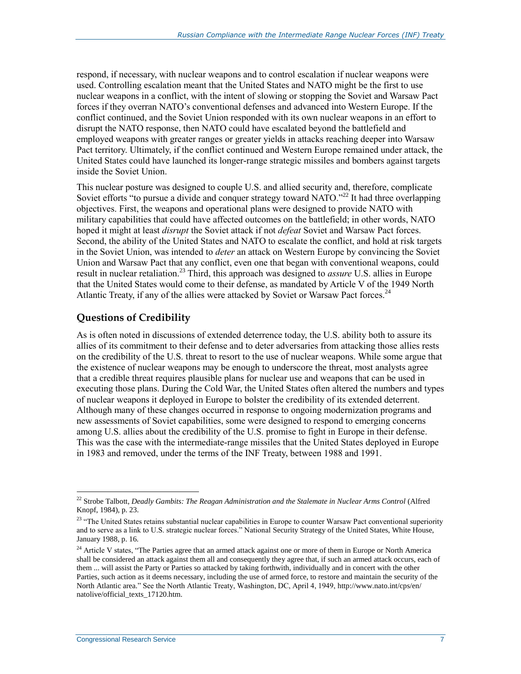respond, if necessary, with nuclear weapons and to control escalation if nuclear weapons were used. Controlling escalation meant that the United States and NATO might be the first to use nuclear weapons in a conflict, with the intent of slowing or stopping the Soviet and Warsaw Pact forces if they overran NATO's conventional defenses and advanced into Western Europe. If the conflict continued, and the Soviet Union responded with its own nuclear weapons in an effort to disrupt the NATO response, then NATO could have escalated beyond the battlefield and employed weapons with greater ranges or greater yields in attacks reaching deeper into Warsaw Pact territory. Ultimately, if the conflict continued and Western Europe remained under attack, the United States could have launched its longer-range strategic missiles and bombers against targets inside the Soviet Union.

This nuclear posture was designed to couple U.S. and allied security and, therefore, complicate Soviet efforts "to pursue a divide and conquer strategy toward NATO."<sup>22</sup> It had three overlapping objectives. First, the weapons and operational plans were designed to provide NATO with military capabilities that could have affected outcomes on the battlefield; in other words, NATO hoped it might at least *disrupt* the Soviet attack if not *defeat* Soviet and Warsaw Pact forces. Second, the ability of the United States and NATO to escalate the conflict, and hold at risk targets in the Soviet Union, was intended to *deter* an attack on Western Europe by convincing the Soviet Union and Warsaw Pact that any conflict, even one that began with conventional weapons, could result in nuclear retaliation.<sup>23</sup> Third, this approach was designed to *assure* U.S. allies in Europe that the United States would come to their defense, as mandated by Article V of the 1949 North Atlantic Treaty, if any of the allies were attacked by Soviet or Warsaw Pact forces.<sup>24</sup>

#### **Questions of Credibility**

As is often noted in discussions of extended deterrence today, the U.S. ability both to assure its allies of its commitment to their defense and to deter adversaries from attacking those allies rests on the credibility of the U.S. threat to resort to the use of nuclear weapons. While some argue that the existence of nuclear weapons may be enough to underscore the threat, most analysts agree that a credible threat requires plausible plans for nuclear use and weapons that can be used in executing those plans. During the Cold War, the United States often altered the numbers and types of nuclear weapons it deployed in Europe to bolster the credibility of its extended deterrent. Although many of these changes occurred in response to ongoing modernization programs and new assessments of Soviet capabilities, some were designed to respond to emerging concerns among U.S. allies about the credibility of the U.S. promise to fight in Europe in their defense. This was the case with the intermediate-range missiles that the United States deployed in Europe in 1983 and removed, under the terms of the INF Treaty, between 1988 and 1991.

<sup>22</sup> Strobe Talbott, *Deadly Gambits: The Reagan Administration and the Stalemate in Nuclear Arms Control* (Alfred Knopf, 1984), p. 23.

<sup>&</sup>lt;sup>23</sup> "The United States retains substantial nuclear capabilities in Europe to counter Warsaw Pact conventional superiority and to serve as a link to U.S. strategic nuclear forces." National Security Strategy of the United States, White House, January 1988, p. 16.

<sup>&</sup>lt;sup>24</sup> Article V states, "The Parties agree that an armed attack against one or more of them in Europe or North America shall be considered an attack against them all and consequently they agree that, if such an armed attack occurs, each of them ... will assist the Party or Parties so attacked by taking forthwith, individually and in concert with the other Parties, such action as it deems necessary, including the use of armed force, to restore and maintain the security of the North Atlantic area." See the North Atlantic Treaty, Washington, DC, April 4, 1949, http://www.nato.int/cps/en/ natolive/official\_texts\_17120.htm.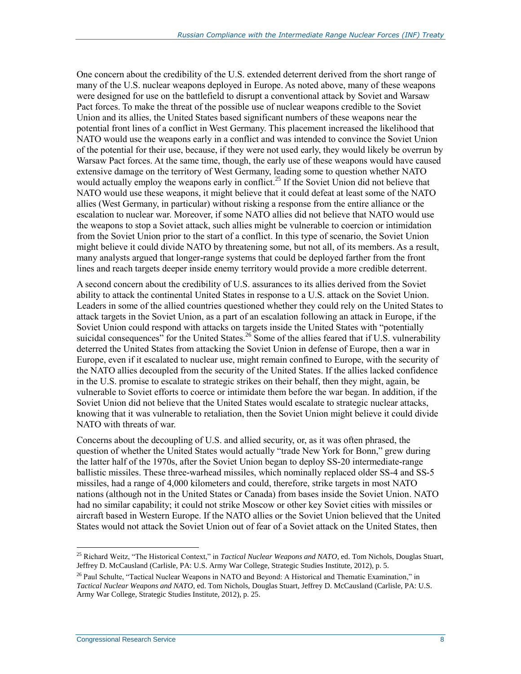One concern about the credibility of the U.S. extended deterrent derived from the short range of many of the U.S. nuclear weapons deployed in Europe. As noted above, many of these weapons were designed for use on the battlefield to disrupt a conventional attack by Soviet and Warsaw Pact forces. To make the threat of the possible use of nuclear weapons credible to the Soviet Union and its allies, the United States based significant numbers of these weapons near the potential front lines of a conflict in West Germany. This placement increased the likelihood that NATO would use the weapons early in a conflict and was intended to convince the Soviet Union of the potential for their use, because, if they were not used early, they would likely be overrun by Warsaw Pact forces. At the same time, though, the early use of these weapons would have caused extensive damage on the territory of West Germany, leading some to question whether NATO would actually employ the weapons early in conflict.<sup>25</sup> If the Soviet Union did not believe that NATO would use these weapons, it might believe that it could defeat at least some of the NATO allies (West Germany, in particular) without risking a response from the entire alliance or the escalation to nuclear war. Moreover, if some NATO allies did not believe that NATO would use the weapons to stop a Soviet attack, such allies might be vulnerable to coercion or intimidation from the Soviet Union prior to the start of a conflict. In this type of scenario, the Soviet Union might believe it could divide NATO by threatening some, but not all, of its members. As a result, many analysts argued that longer-range systems that could be deployed farther from the front lines and reach targets deeper inside enemy territory would provide a more credible deterrent.

A second concern about the credibility of U.S. assurances to its allies derived from the Soviet ability to attack the continental United States in response to a U.S. attack on the Soviet Union. Leaders in some of the allied countries questioned whether they could rely on the United States to attack targets in the Soviet Union, as a part of an escalation following an attack in Europe, if the Soviet Union could respond with attacks on targets inside the United States with "potentially suicidal consequences" for the United States.<sup>26</sup> Some of the allies feared that if U.S. vulnerability deterred the United States from attacking the Soviet Union in defense of Europe, then a war in Europe, even if it escalated to nuclear use, might remain confined to Europe, with the security of the NATO allies decoupled from the security of the United States. If the allies lacked confidence in the U.S. promise to escalate to strategic strikes on their behalf, then they might, again, be vulnerable to Soviet efforts to coerce or intimidate them before the war began. In addition, if the Soviet Union did not believe that the United States would escalate to strategic nuclear attacks, knowing that it was vulnerable to retaliation, then the Soviet Union might believe it could divide NATO with threats of war.

Concerns about the decoupling of U.S. and allied security, or, as it was often phrased, the question of whether the United States would actually "trade New York for Bonn," grew during the latter half of the 1970s, after the Soviet Union began to deploy SS-20 intermediate-range ballistic missiles. These three-warhead missiles, which nominally replaced older SS-4 and SS-5 missiles, had a range of 4,000 kilometers and could, therefore, strike targets in most NATO nations (although not in the United States or Canada) from bases inside the Soviet Union. NATO had no similar capability; it could not strike Moscow or other key Soviet cities with missiles or aircraft based in Western Europe. If the NATO allies or the Soviet Union believed that the United States would not attack the Soviet Union out of fear of a Soviet attack on the United States, then

 $\overline{a}$ <sup>25</sup> Richard Weitz, "The Historical Context," in *Tactical Nuclear Weapons and NATO*, ed. Tom Nichols, Douglas Stuart, Jeffrey D. McCausland (Carlisle, PA: U.S. Army War College, Strategic Studies Institute, 2012), p. 5.

<sup>&</sup>lt;sup>26</sup> Paul Schulte, "Tactical Nuclear Weapons in NATO and Beyond: A Historical and Thematic Examination," in *Tactical Nuclear Weapons and NATO*, ed. Tom Nichols, Douglas Stuart, Jeffrey D. McCausland (Carlisle, PA: U.S. Army War College, Strategic Studies Institute, 2012), p. 25.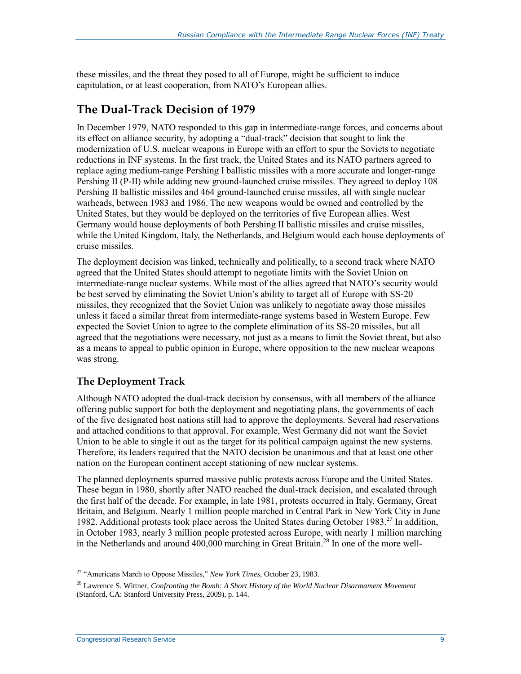these missiles, and the threat they posed to all of Europe, might be sufficient to induce capitulation, or at least cooperation, from NATO's European allies.

### **The Dual-Track Decision of 1979**

In December 1979, NATO responded to this gap in intermediate-range forces, and concerns about its effect on alliance security, by adopting a "dual-track" decision that sought to link the modernization of U.S. nuclear weapons in Europe with an effort to spur the Soviets to negotiate reductions in INF systems. In the first track, the United States and its NATO partners agreed to replace aging medium-range Pershing I ballistic missiles with a more accurate and longer-range Pershing II (P-II) while adding new ground-launched cruise missiles. They agreed to deploy 108 Pershing II ballistic missiles and 464 ground-launched cruise missiles, all with single nuclear warheads, between 1983 and 1986. The new weapons would be owned and controlled by the United States, but they would be deployed on the territories of five European allies. West Germany would house deployments of both Pershing II ballistic missiles and cruise missiles, while the United Kingdom, Italy, the Netherlands, and Belgium would each house deployments of cruise missiles.

The deployment decision was linked, technically and politically, to a second track where NATO agreed that the United States should attempt to negotiate limits with the Soviet Union on intermediate-range nuclear systems. While most of the allies agreed that NATO's security would be best served by eliminating the Soviet Union's ability to target all of Europe with SS-20 missiles, they recognized that the Soviet Union was unlikely to negotiate away those missiles unless it faced a similar threat from intermediate-range systems based in Western Europe. Few expected the Soviet Union to agree to the complete elimination of its SS-20 missiles, but all agreed that the negotiations were necessary, not just as a means to limit the Soviet threat, but also as a means to appeal to public opinion in Europe, where opposition to the new nuclear weapons was strong.

#### **The Deployment Track**

Although NATO adopted the dual-track decision by consensus, with all members of the alliance offering public support for both the deployment and negotiating plans, the governments of each of the five designated host nations still had to approve the deployments. Several had reservations and attached conditions to that approval. For example, West Germany did not want the Soviet Union to be able to single it out as the target for its political campaign against the new systems. Therefore, its leaders required that the NATO decision be unanimous and that at least one other nation on the European continent accept stationing of new nuclear systems.

The planned deployments spurred massive public protests across Europe and the United States. These began in 1980, shortly after NATO reached the dual-track decision, and escalated through the first half of the decade. For example, in late 1981, protests occurred in Italy, Germany, Great Britain, and Belgium. Nearly 1 million people marched in Central Park in New York City in June 1982. Additional protests took place across the United States during October 1983.<sup>27</sup> In addition, in October 1983, nearly 3 million people protested across Europe, with nearly 1 million marching in the Netherlands and around  $400,000$  marching in Great Britain.<sup>28</sup> In one of the more well-

 $\overline{a}$ <sup>27</sup> "Americans March to Oppose Missiles," *New York Times*, October 23, 1983.

<sup>28</sup> Lawrence S. Wittner, *Confronting the Bomb: A Short History of the World Nuclear Disarmament Movement* (Stanford, CA: Stanford University Press, 2009), p. 144.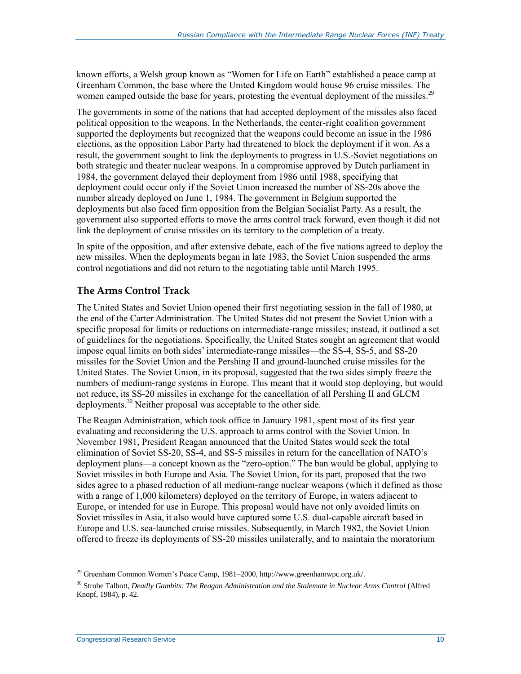known efforts, a Welsh group known as "Women for Life on Earth" established a peace camp at Greenham Common, the base where the United Kingdom would house 96 cruise missiles. The women camped outside the base for years, protesting the eventual deployment of the missiles.<sup>29</sup>

The governments in some of the nations that had accepted deployment of the missiles also faced political opposition to the weapons. In the Netherlands, the center-right coalition government supported the deployments but recognized that the weapons could become an issue in the 1986 elections, as the opposition Labor Party had threatened to block the deployment if it won. As a result, the government sought to link the deployments to progress in U.S.-Soviet negotiations on both strategic and theater nuclear weapons. In a compromise approved by Dutch parliament in 1984, the government delayed their deployment from 1986 until 1988, specifying that deployment could occur only if the Soviet Union increased the number of SS-20s above the number already deployed on June 1, 1984. The government in Belgium supported the deployments but also faced firm opposition from the Belgian Socialist Party. As a result, the government also supported efforts to move the arms control track forward, even though it did not link the deployment of cruise missiles on its territory to the completion of a treaty.

In spite of the opposition, and after extensive debate, each of the five nations agreed to deploy the new missiles. When the deployments began in late 1983, the Soviet Union suspended the arms control negotiations and did not return to the negotiating table until March 1995.

#### **The Arms Control Track**

The United States and Soviet Union opened their first negotiating session in the fall of 1980, at the end of the Carter Administration. The United States did not present the Soviet Union with a specific proposal for limits or reductions on intermediate-range missiles; instead, it outlined a set of guidelines for the negotiations. Specifically, the United States sought an agreement that would impose equal limits on both sides' intermediate-range missiles—the SS-4, SS-5, and SS-20 missiles for the Soviet Union and the Pershing II and ground-launched cruise missiles for the United States. The Soviet Union, in its proposal, suggested that the two sides simply freeze the numbers of medium-range systems in Europe. This meant that it would stop deploying, but would not reduce, its SS-20 missiles in exchange for the cancellation of all Pershing II and GLCM deployments.<sup>30</sup> Neither proposal was acceptable to the other side.

The Reagan Administration, which took office in January 1981, spent most of its first year evaluating and reconsidering the U.S. approach to arms control with the Soviet Union. In November 1981, President Reagan announced that the United States would seek the total elimination of Soviet SS-20, SS-4, and SS-5 missiles in return for the cancellation of NATO's deployment plans—a concept known as the "zero-option." The ban would be global, applying to Soviet missiles in both Europe and Asia. The Soviet Union, for its part, proposed that the two sides agree to a phased reduction of all medium-range nuclear weapons (which it defined as those with a range of 1,000 kilometers) deployed on the territory of Europe, in waters adjacent to Europe, or intended for use in Europe. This proposal would have not only avoided limits on Soviet missiles in Asia, it also would have captured some U.S. dual-capable aircraft based in Europe and U.S. sea-launched cruise missiles. Subsequently, in March 1982, the Soviet Union offered to freeze its deployments of SS-20 missiles unilaterally, and to maintain the moratorium

 $^{29}$  Greenham Common Women's Peace Camp, 1981–2000, http://www.greenhamwpc.org.uk/.

<sup>&</sup>lt;sup>30</sup> Strobe Talbott, *Deadly Gambits: The Reagan Administration and the Stalemate in Nuclear Arms Control* (Alfred Knopf, 1984), p. 42.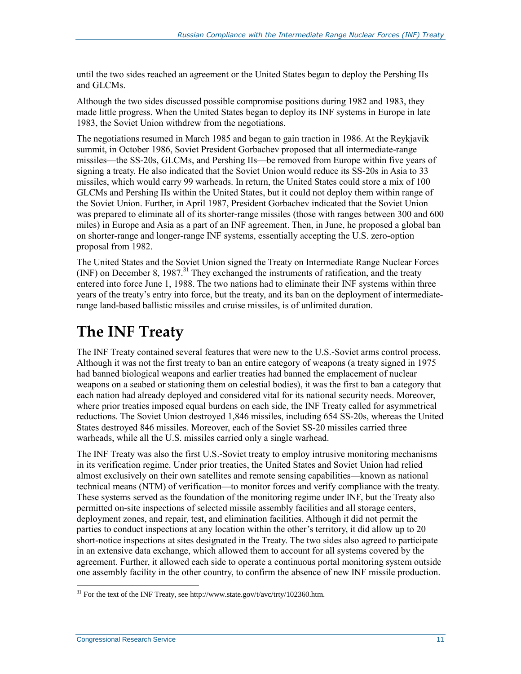until the two sides reached an agreement or the United States began to deploy the Pershing IIs and GLCMs.

Although the two sides discussed possible compromise positions during 1982 and 1983, they made little progress. When the United States began to deploy its INF systems in Europe in late 1983, the Soviet Union withdrew from the negotiations.

The negotiations resumed in March 1985 and began to gain traction in 1986. At the Reykjavik summit, in October 1986, Soviet President Gorbachev proposed that all intermediate-range missiles—the SS-20s, GLCMs, and Pershing IIs—be removed from Europe within five years of signing a treaty. He also indicated that the Soviet Union would reduce its SS-20s in Asia to 33 missiles, which would carry 99 warheads. In return, the United States could store a mix of 100 GLCMs and Pershing IIs within the United States, but it could not deploy them within range of the Soviet Union. Further, in April 1987, President Gorbachev indicated that the Soviet Union was prepared to eliminate all of its shorter-range missiles (those with ranges between 300 and 600 miles) in Europe and Asia as a part of an INF agreement. Then, in June, he proposed a global ban on shorter-range and longer-range INF systems, essentially accepting the U.S. zero-option proposal from 1982.

The United States and the Soviet Union signed the Treaty on Intermediate Range Nuclear Forces (INF) on December 8, 1987.<sup>31</sup> They exchanged the instruments of ratification, and the treaty entered into force June 1, 1988. The two nations had to eliminate their INF systems within three years of the treaty's entry into force, but the treaty, and its ban on the deployment of intermediaterange land-based ballistic missiles and cruise missiles, is of unlimited duration.

## **The INF Treaty**

The INF Treaty contained several features that were new to the U.S.-Soviet arms control process. Although it was not the first treaty to ban an entire category of weapons (a treaty signed in 1975 had banned biological weapons and earlier treaties had banned the emplacement of nuclear weapons on a seabed or stationing them on celestial bodies), it was the first to ban a category that each nation had already deployed and considered vital for its national security needs. Moreover, where prior treaties imposed equal burdens on each side, the INF Treaty called for asymmetrical reductions. The Soviet Union destroyed 1,846 missiles, including 654 SS-20s, whereas the United States destroyed 846 missiles. Moreover, each of the Soviet SS-20 missiles carried three warheads, while all the U.S. missiles carried only a single warhead.

The INF Treaty was also the first U.S.-Soviet treaty to employ intrusive monitoring mechanisms in its verification regime. Under prior treaties, the United States and Soviet Union had relied almost exclusively on their own satellites and remote sensing capabilities—known as national technical means (NTM) of verification—to monitor forces and verify compliance with the treaty. These systems served as the foundation of the monitoring regime under INF, but the Treaty also permitted on-site inspections of selected missile assembly facilities and all storage centers, deployment zones, and repair, test, and elimination facilities. Although it did not permit the parties to conduct inspections at any location within the other's territory, it did allow up to 20 short-notice inspections at sites designated in the Treaty. The two sides also agreed to participate in an extensive data exchange, which allowed them to account for all systems covered by the agreement. Further, it allowed each side to operate a continuous portal monitoring system outside one assembly facility in the other country, to confirm the absence of new INF missile production.

 $\overline{a}$  $31$  For the text of the INF Treaty, see http://www.state.gov/t/avc/trty/102360.htm.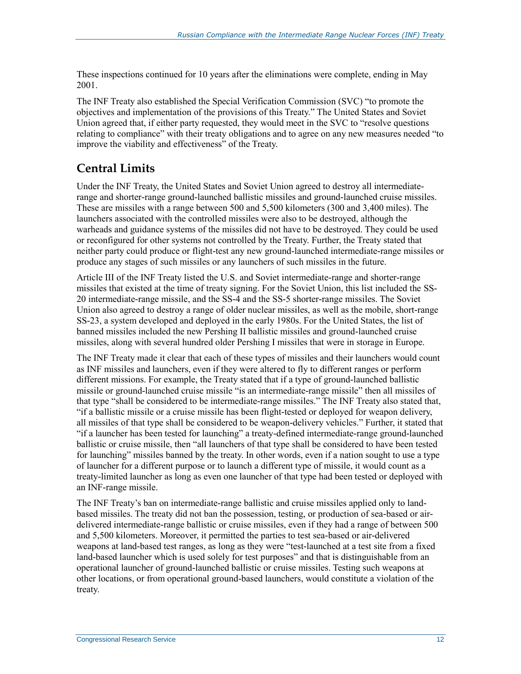These inspections continued for 10 years after the eliminations were complete, ending in May 2001.

The INF Treaty also established the Special Verification Commission (SVC) "to promote the objectives and implementation of the provisions of this Treaty." The United States and Soviet Union agreed that, if either party requested, they would meet in the SVC to "resolve questions relating to compliance" with their treaty obligations and to agree on any new measures needed "to improve the viability and effectiveness" of the Treaty.

## **Central Limits**

Under the INF Treaty, the United States and Soviet Union agreed to destroy all intermediaterange and shorter-range ground-launched ballistic missiles and ground-launched cruise missiles. These are missiles with a range between 500 and 5,500 kilometers (300 and 3,400 miles). The launchers associated with the controlled missiles were also to be destroyed, although the warheads and guidance systems of the missiles did not have to be destroyed. They could be used or reconfigured for other systems not controlled by the Treaty. Further, the Treaty stated that neither party could produce or flight-test any new ground-launched intermediate-range missiles or produce any stages of such missiles or any launchers of such missiles in the future.

Article III of the INF Treaty listed the U.S. and Soviet intermediate-range and shorter-range missiles that existed at the time of treaty signing. For the Soviet Union, this list included the SS-20 intermediate-range missile, and the SS-4 and the SS-5 shorter-range missiles. The Soviet Union also agreed to destroy a range of older nuclear missiles, as well as the mobile, short-range SS-23, a system developed and deployed in the early 1980s. For the United States, the list of banned missiles included the new Pershing II ballistic missiles and ground-launched cruise missiles, along with several hundred older Pershing I missiles that were in storage in Europe.

The INF Treaty made it clear that each of these types of missiles and their launchers would count as INF missiles and launchers, even if they were altered to fly to different ranges or perform different missions. For example, the Treaty stated that if a type of ground-launched ballistic missile or ground-launched cruise missile "is an intermediate-range missile" then all missiles of that type "shall be considered to be intermediate-range missiles." The INF Treaty also stated that, "if a ballistic missile or a cruise missile has been flight-tested or deployed for weapon delivery, all missiles of that type shall be considered to be weapon-delivery vehicles." Further, it stated that "if a launcher has been tested for launching" a treaty-defined intermediate-range ground-launched ballistic or cruise missile, then "all launchers of that type shall be considered to have been tested for launching" missiles banned by the treaty. In other words, even if a nation sought to use a type of launcher for a different purpose or to launch a different type of missile, it would count as a treaty-limited launcher as long as even one launcher of that type had been tested or deployed with an INF-range missile.

The INF Treaty's ban on intermediate-range ballistic and cruise missiles applied only to landbased missiles. The treaty did not ban the possession, testing, or production of sea-based or airdelivered intermediate-range ballistic or cruise missiles, even if they had a range of between 500 and 5,500 kilometers. Moreover, it permitted the parties to test sea-based or air-delivered weapons at land-based test ranges, as long as they were "test-launched at a test site from a fixed land-based launcher which is used solely for test purposes" and that is distinguishable from an operational launcher of ground-launched ballistic or cruise missiles. Testing such weapons at other locations, or from operational ground-based launchers, would constitute a violation of the treaty.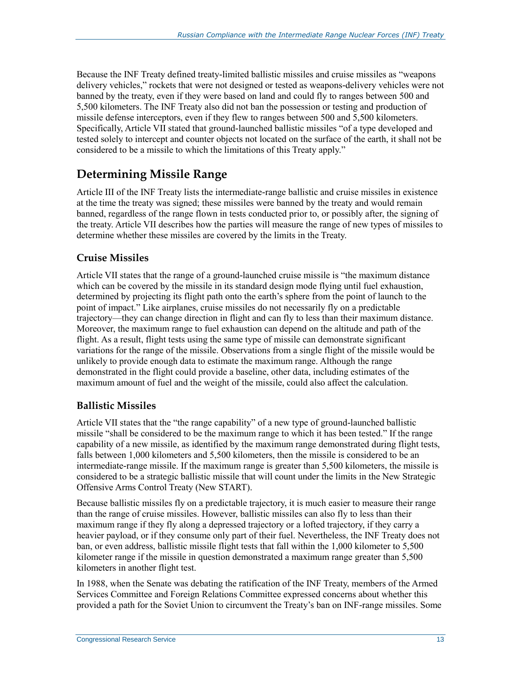Because the INF Treaty defined treaty-limited ballistic missiles and cruise missiles as "weapons delivery vehicles," rockets that were not designed or tested as weapons-delivery vehicles were not banned by the treaty, even if they were based on land and could fly to ranges between 500 and 5,500 kilometers. The INF Treaty also did not ban the possession or testing and production of missile defense interceptors, even if they flew to ranges between 500 and 5,500 kilometers. Specifically, Article VII stated that ground-launched ballistic missiles "of a type developed and tested solely to intercept and counter objects not located on the surface of the earth, it shall not be considered to be a missile to which the limitations of this Treaty apply."

## **Determining Missile Range**

Article III of the INF Treaty lists the intermediate-range ballistic and cruise missiles in existence at the time the treaty was signed; these missiles were banned by the treaty and would remain banned, regardless of the range flown in tests conducted prior to, or possibly after, the signing of the treaty. Article VII describes how the parties will measure the range of new types of missiles to determine whether these missiles are covered by the limits in the Treaty.

#### **Cruise Missiles**

Article VII states that the range of a ground-launched cruise missile is "the maximum distance which can be covered by the missile in its standard design mode flying until fuel exhaustion, determined by projecting its flight path onto the earth's sphere from the point of launch to the point of impact." Like airplanes, cruise missiles do not necessarily fly on a predictable trajectory—they can change direction in flight and can fly to less than their maximum distance. Moreover, the maximum range to fuel exhaustion can depend on the altitude and path of the flight. As a result, flight tests using the same type of missile can demonstrate significant variations for the range of the missile. Observations from a single flight of the missile would be unlikely to provide enough data to estimate the maximum range. Although the range demonstrated in the flight could provide a baseline, other data, including estimates of the maximum amount of fuel and the weight of the missile, could also affect the calculation.

#### **Ballistic Missiles**

Article VII states that the "the range capability" of a new type of ground-launched ballistic missile "shall be considered to be the maximum range to which it has been tested." If the range capability of a new missile, as identified by the maximum range demonstrated during flight tests, falls between 1,000 kilometers and 5,500 kilometers, then the missile is considered to be an intermediate-range missile. If the maximum range is greater than 5,500 kilometers, the missile is considered to be a strategic ballistic missile that will count under the limits in the New Strategic Offensive Arms Control Treaty (New START).

Because ballistic missiles fly on a predictable trajectory, it is much easier to measure their range than the range of cruise missiles. However, ballistic missiles can also fly to less than their maximum range if they fly along a depressed trajectory or a lofted trajectory, if they carry a heavier payload, or if they consume only part of their fuel. Nevertheless, the INF Treaty does not ban, or even address, ballistic missile flight tests that fall within the 1,000 kilometer to 5,500 kilometer range if the missile in question demonstrated a maximum range greater than 5,500 kilometers in another flight test.

In 1988, when the Senate was debating the ratification of the INF Treaty, members of the Armed Services Committee and Foreign Relations Committee expressed concerns about whether this provided a path for the Soviet Union to circumvent the Treaty's ban on INF-range missiles. Some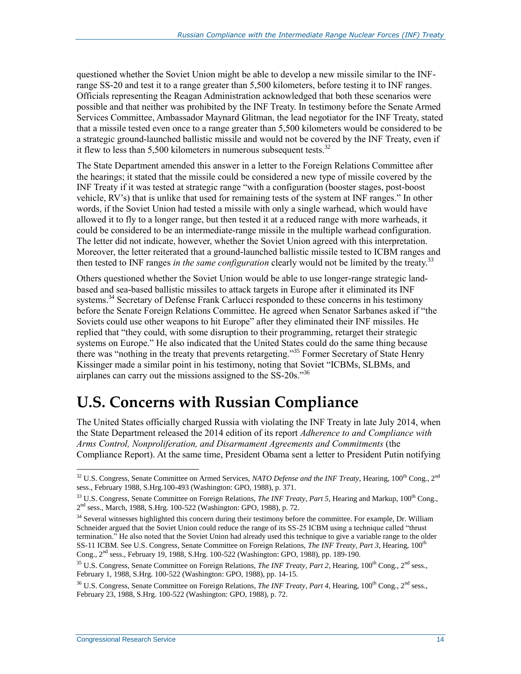questioned whether the Soviet Union might be able to develop a new missile similar to the INFrange SS-20 and test it to a range greater than 5,500 kilometers, before testing it to INF ranges. Officials representing the Reagan Administration acknowledged that both these scenarios were possible and that neither was prohibited by the INF Treaty. In testimony before the Senate Armed Services Committee, Ambassador Maynard Glitman, the lead negotiator for the INF Treaty, stated that a missile tested even once to a range greater than 5,500 kilometers would be considered to be a strategic ground-launched ballistic missile and would not be covered by the INF Treaty, even if it flew to less than  $5,500$  kilometers in numerous subsequent tests.<sup>32</sup>

The State Department amended this answer in a letter to the Foreign Relations Committee after the hearings; it stated that the missile could be considered a new type of missile covered by the INF Treaty if it was tested at strategic range "with a configuration (booster stages, post-boost vehicle, RV's) that is unlike that used for remaining tests of the system at INF ranges." In other words, if the Soviet Union had tested a missile with only a single warhead, which would have allowed it to fly to a longer range, but then tested it at a reduced range with more warheads, it could be considered to be an intermediate-range missile in the multiple warhead configuration. The letter did not indicate, however, whether the Soviet Union agreed with this interpretation. Moreover, the letter reiterated that a ground-launched ballistic missile tested to ICBM ranges and then tested to INF ranges *in the same configuration* clearly would not be limited by the treaty.<sup>33</sup>

Others questioned whether the Soviet Union would be able to use longer-range strategic landbased and sea-based ballistic missiles to attack targets in Europe after it eliminated its INF systems.<sup>34</sup> Secretary of Defense Frank Carlucci responded to these concerns in his testimony before the Senate Foreign Relations Committee. He agreed when Senator Sarbanes asked if "the Soviets could use other weapons to hit Europe" after they eliminated their INF missiles. He replied that "they could, with some disruption to their programming, retarget their strategic systems on Europe." He also indicated that the United States could do the same thing because there was "nothing in the treaty that prevents retargeting." <sup>35</sup> Former Secretary of State Henry Kissinger made a similar point in his testimony, noting that Soviet "ICBMs, SLBMs, and airplanes can carry out the missions assigned to the SS-20s."<sup>36</sup>

## **U.S. Concerns with Russian Compliance**

The United States officially charged Russia with violating the INF Treaty in late July 2014, when the State Department released the 2014 edition of its report *Adherence to and Compliance with Arms Control, Nonproliferation, and Disarmament Agreements and Commitments* (the Compliance Report). At the same time, President Obama sent a letter to President Putin notifying

<sup>&</sup>lt;sup>32</sup> U.S. Congress, Senate Committee on Armed Services, *NATO Defense and the INF Treaty*, Hearing, 100<sup>th</sup> Cong., 2<sup>nd</sup> sess., February 1988, S.Hrg.100-493 (Washington: GPO, 1988), p. 371.

<sup>&</sup>lt;sup>33</sup> U.S. Congress, Senate Committee on Foreign Relations, *The INF Treaty, Part 5*, Hearing and Markup, 100<sup>th</sup> Cong., 2 nd sess., March, 1988, S.Hrg. 100-522 (Washington: GPO, 1988), p. 72.

<sup>&</sup>lt;sup>34</sup> Several witnesses highlighted this concern during their testimony before the committee. For example, Dr. William Schneider argued that the Soviet Union could reduce the range of its SS-25 ICBM using a technique called "thrust termination." He also noted that the Soviet Union had already used this technique to give a variable range to the older SS-11 ICBM. See U.S. Congress, Senate Committee on Foreign Relations, *The INF Treaty, Part 3*, Hearing, 100<sup>th</sup> Cong., 2nd sess., February 19, 1988, S.Hrg. 100-522 (Washington: GPO, 1988), pp. 189-190.

<sup>35</sup> U.S. Congress, Senate Committee on Foreign Relations, *The INF Treaty, Part 2,* Hearing, 100th Cong., 2nd sess., February 1, 1988, S.Hrg. 100-522 (Washington: GPO, 1988), pp. 14-15.

<sup>&</sup>lt;sup>36</sup> U.S. Congress, Senate Committee on Foreign Relations, *The INF Treaty, Part 4*, Hearing, 100<sup>th</sup> Cong., 2<sup>nd</sup> sess., February 23, 1988, S.Hrg. 100-522 (Washington: GPO, 1988), p. 72.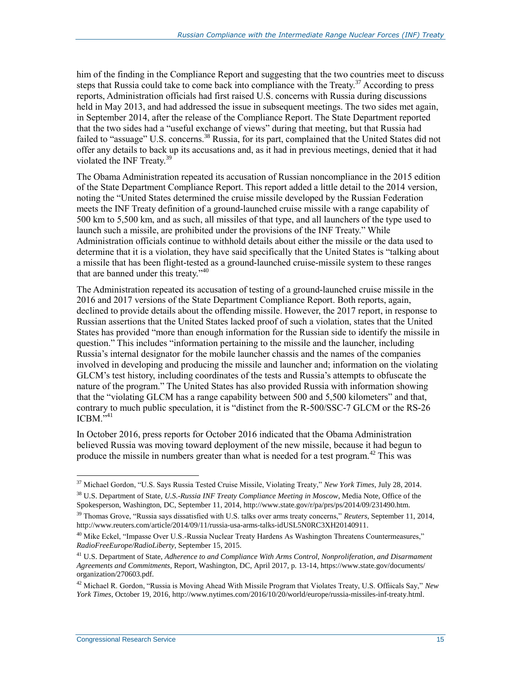him of the finding in the Compliance Report and suggesting that the two countries meet to discuss steps that Russia could take to come back into compliance with the Treaty.<sup>37</sup> According to press reports, Administration officials had first raised U.S. concerns with Russia during discussions held in May 2013, and had addressed the issue in subsequent meetings. The two sides met again, in September 2014, after the release of the Compliance Report. The State Department reported that the two sides had a "useful exchange of views" during that meeting, but that Russia had failed to "assuage" U.S. concerns.<sup>38</sup> Russia, for its part, complained that the United States did not offer any details to back up its accusations and, as it had in previous meetings, denied that it had violated the INF Treaty.<sup>39</sup>

The Obama Administration repeated its accusation of Russian noncompliance in the 2015 edition of the State Department Compliance Report. This report added a little detail to the 2014 version, noting the "United States determined the cruise missile developed by the Russian Federation meets the INF Treaty definition of a ground-launched cruise missile with a range capability of 500 km to 5,500 km, and as such, all missiles of that type, and all launchers of the type used to launch such a missile, are prohibited under the provisions of the INF Treaty." While Administration officials continue to withhold details about either the missile or the data used to determine that it is a violation, they have said specifically that the United States is "talking about a missile that has been flight-tested as a ground-launched cruise-missile system to these ranges that are banned under this treaty."<sup>40</sup>

The Administration repeated its accusation of testing of a ground-launched cruise missile in the 2016 and 2017 versions of the State Department Compliance Report. Both reports, again, declined to provide details about the offending missile. However, the 2017 report, in response to Russian assertions that the United States lacked proof of such a violation, states that the United States has provided "more than enough information for the Russian side to identify the missile in question." This includes "information pertaining to the missile and the launcher, including Russia's internal designator for the mobile launcher chassis and the names of the companies involved in developing and producing the missile and launcher and; information on the violating GLCM's test history, including coordinates of the tests and Russia's attempts to obfuscate the nature of the program." The United States has also provided Russia with information showing that the "violating GLCM has a range capability between 500 and 5,500 kilometers" and that, contrary to much public speculation, it is "distinct from the R-500/SSC-7 GLCM or the RS-26  $ICBM.$ <sup> $541$ </sup>

In October 2016, press reports for October 2016 indicated that the Obama Administration believed Russia was moving toward deployment of the new missile, because it had begun to produce the missile in numbers greater than what is needed for a test program.<sup>42</sup> This was

<sup>37</sup> Michael Gordon, "U.S. Says Russia Tested Cruise Missile, Violating Treaty," *New York Times*, July 28, 2014. <sup>38</sup> U.S. Department of State, *U.S.-Russia INF Treaty Compliance Meeting in Moscow*, Media Note, Office of the

Spokesperson, Washington, DC, September 11, 2014, http://www.state.gov/r/pa/prs/ps/2014/09/231490.htm.

<sup>39</sup> Thomas Grove, "Russia says dissatisfied with U.S. talks over arms treaty concerns," *Reuters*, September 11, 2014, http://www.reuters.com/article/2014/09/11/russia-usa-arms-talks-idUSL5N0RC3XH20140911.

<sup>&</sup>lt;sup>40</sup> Mike Eckel, "Impasse Over U.S.-Russia Nuclear Treaty Hardens As Washington Threatens Countermeasures," *RadioFreeEurope/RadioLiberty*, September 15, 2015.

<sup>41</sup> U.S. Department of State, *Adherence to and Compliance With Arms Control, Nonproliferation, and Disarmament Agreements and Commitments*, Report, Washington, DC, April 2017, p. 13-14, https://www.state.gov/documents/ organization/270603.pdf.

<sup>42</sup> Michael R. Gordon, "Russia is Moving Ahead With Missile Program that Violates Treaty, U.S. Offiicals Say," *New York Times*, October 19, 2016, http://www.nytimes.com/2016/10/20/world/europe/russia-missiles-inf-treaty.html.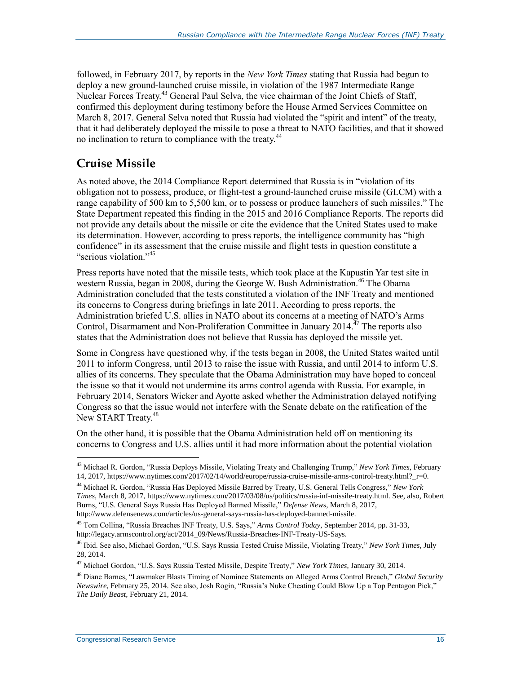followed, in February 2017, by reports in the *New York Times* stating that Russia had begun to deploy a new ground-launched cruise missile, in violation of the 1987 Intermediate Range Nuclear Forces Treaty.<sup>43</sup> General Paul Selva, the vice chairman of the Joint Chiefs of Staff, confirmed this deployment during testimony before the House Armed Services Committee on March 8, 2017. General Selva noted that Russia had violated the "spirit and intent" of the treaty, that it had deliberately deployed the missile to pose a threat to NATO facilities, and that it showed no inclination to return to compliance with the treaty.<sup>44</sup>

### **Cruise Missile**

As noted above, the 2014 Compliance Report determined that Russia is in "violation of its obligation not to possess, produce, or flight-test a ground-launched cruise missile (GLCM) with a range capability of 500 km to 5,500 km, or to possess or produce launchers of such missiles." The State Department repeated this finding in the 2015 and 2016 Compliance Reports. The reports did not provide any details about the missile or cite the evidence that the United States used to make its determination. However, according to press reports, the intelligence community has "high confidence" in its assessment that the cruise missile and flight tests in question constitute a "serious violation."<sup>45</sup>

Press reports have noted that the missile tests, which took place at the Kapustin Yar test site in western Russia, began in 2008, during the George W. Bush Administration.<sup>46</sup> The Obama Administration concluded that the tests constituted a violation of the INF Treaty and mentioned its concerns to Congress during briefings in late 2011. According to press reports, the Administration briefed U.S. allies in NATO about its concerns at a meeting of NATO's Arms Control, Disarmament and Non-Proliferation Committee in January 2014.<sup> $47$ </sup> The reports also states that the Administration does not believe that Russia has deployed the missile yet.

Some in Congress have questioned why, if the tests began in 2008, the United States waited until 2011 to inform Congress, until 2013 to raise the issue with Russia, and until 2014 to inform U.S. allies of its concerns. They speculate that the Obama Administration may have hoped to conceal the issue so that it would not undermine its arms control agenda with Russia. For example, in February 2014, Senators Wicker and Ayotte asked whether the Administration delayed notifying Congress so that the issue would not interfere with the Senate debate on the ratification of the New START Treaty.<sup>48</sup>

On the other hand, it is possible that the Obama Administration held off on mentioning its concerns to Congress and U.S. allies until it had more information about the potential violation

<sup>43</sup> Michael R. Gordon, "Russia Deploys Missile, Violating Treaty and Challenging Trump," *New York Times*, February 14, 2017, https://www.nytimes.com/2017/02/14/world/europe/russia-cruise-missile-arms-control-treaty.html?\_r=0.

<sup>44</sup> Michael R. Gordon, "Russia Has Deployed Missile Barred by Treaty, U.S. General Tells Congress," *New York Times*, March 8, 2017, https://www.nytimes.com/2017/03/08/us/politics/russia-inf-missile-treaty.html. See, also, Robert Burns, "U.S. General Says Russia Has Deployed Banned Missile," *Defense News*, March 8, 2017, http://www.defensenews.com/articles/us-general-says-russia-has-deployed-banned-missile.

<sup>45</sup> Tom Collina, "Russia Breaches INF Treaty, U.S. Says," *Arms Control Today*, September 2014, pp. 31-33, http://legacy.armscontrol.org/act/2014\_09/News/Russia-Breaches-INF-Treaty-US-Says.

<sup>46</sup> Ibid. See also, Michael Gordon, "U.S. Says Russia Tested Cruise Missile, Violating Treaty," *New York Times*, July 28, 2014.

<sup>47</sup> Michael Gordon, "U.S. Says Russia Tested Missile, Despite Treaty," *New York Times*, January 30, 2014.

<sup>48</sup> Diane Barnes, "Lawmaker Blasts Timing of Nominee Statements on Alleged Arms Control Breach," *Global Security Newswire*, February 25, 2014. See also, Josh Rogin, "Russia's Nuke Cheating Could Blow Up a Top Pentagon Pick," *The Daily Beast,* February 21, 2014.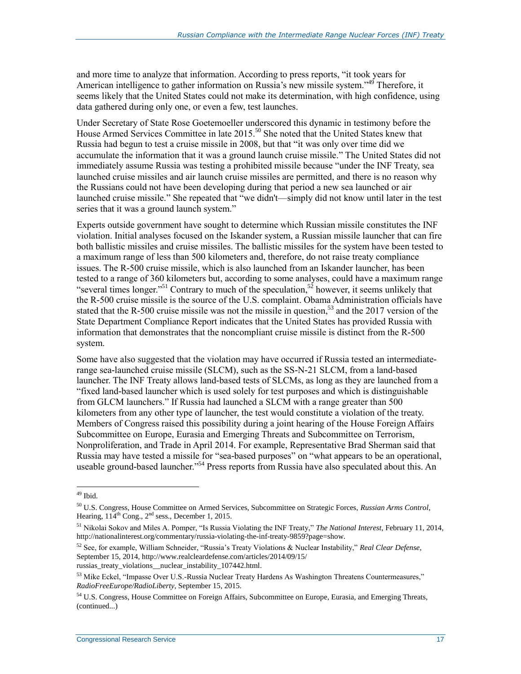and more time to analyze that information. According to press reports, "it took years for American intelligence to gather information on Russia's new missile system."<sup>49</sup> Therefore, it seems likely that the United States could not make its determination, with high confidence, using data gathered during only one, or even a few, test launches.

Under Secretary of State Rose Goetemoeller underscored this dynamic in testimony before the House Armed Services Committee in late 2015.<sup>50</sup> She noted that the United States knew that Russia had begun to test a cruise missile in 2008, but that "it was only over time did we accumulate the information that it was a ground launch cruise missile." The United States did not immediately assume Russia was testing a prohibited missile because "under the INF Treaty, sea launched cruise missiles and air launch cruise missiles are permitted, and there is no reason why the Russians could not have been developing during that period a new sea launched or air launched cruise missile." She repeated that "we didn't—simply did not know until later in the test series that it was a ground launch system."

Experts outside government have sought to determine which Russian missile constitutes the INF violation. Initial analyses focused on the Iskander system, a Russian missile launcher that can fire both ballistic missiles and cruise missiles. The ballistic missiles for the system have been tested to a maximum range of less than 500 kilometers and, therefore, do not raise treaty compliance issues. The R-500 cruise missile, which is also launched from an Iskander launcher, has been tested to a range of 360 kilometers but, according to some analyses, could have a maximum range "several times longer."<sup>51</sup> Contrary to much of the speculation,<sup>52</sup> however, it seems unlikely that the R-500 cruise missile is the source of the U.S. complaint. Obama Administration officials have stated that the R-500 cruise missile was not the missile in question,<sup>53</sup> and the 2017 version of the State Department Compliance Report indicates that the United States has provided Russia with information that demonstrates that the noncompliant cruise missile is distinct from the R-500 system.

Some have also suggested that the violation may have occurred if Russia tested an intermediaterange sea-launched cruise missile (SLCM), such as the SS-N-21 SLCM, from a land-based launcher. The INF Treaty allows land-based tests of SLCMs, as long as they are launched from a "fixed land-based launcher which is used solely for test purposes and which is distinguishable from GLCM launchers." If Russia had launched a SLCM with a range greater than 500 kilometers from any other type of launcher, the test would constitute a violation of the treaty. Members of Congress raised this possibility during a joint hearing of the House Foreign Affairs Subcommittee on Europe, Eurasia and Emerging Threats and Subcommittee on Terrorism, Nonproliferation, and Trade in April 2014. For example, Representative Brad Sherman said that Russia may have tested a missile for "sea-based purposes" on "what appears to be an operational, useable ground-based launcher."<sup>54</sup> Press reports from Russia have also speculated about this. An

<sup>&</sup>lt;sup>49</sup> Ibid.

<sup>50</sup> U.S. Congress, House Committee on Armed Services, Subcommittee on Strategic Forces, *Russian Arms Control*, Hearing,  $114^{th}$  Cong.,  $2^{nd}$  sess., December 1, 2015.

<sup>51</sup> Nikolai Sokov and Miles A. Pomper, "Is Russia Violating the INF Treaty," *The National Interest*, February 11, 2014, http://nationalinterest.org/commentary/russia-violating-the-inf-treaty-9859?page=show.

<sup>52</sup> See, for example, William Schneider, "Russia's Treaty Violations & Nuclear Instability," *Real Clear Defense*, September 15, 2014, http://www.realcleardefense.com/articles/2014/09/15/

russias\_treaty\_violations\_\_nuclear\_instability\_107442.html.

<sup>53</sup> Mike Eckel, "Impasse Over U.S.-Russia Nuclear Treaty Hardens As Washington Threatens Countermeasures," *RadioFreeEurope/RadioLiberty*, September 15, 2015.

<sup>&</sup>lt;sup>54</sup> U.S. Congress, House Committee on Foreign Affairs, Subcommittee on Europe, Eurasia, and Emerging Threats, (continued...)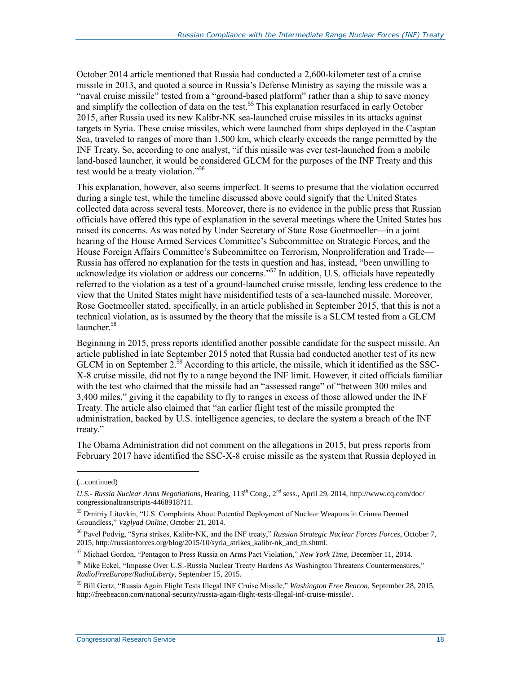October 2014 article mentioned that Russia had conducted a 2,600-kilometer test of a cruise missile in 2013, and quoted a source in Russia's Defense Ministry as saying the missile was a "naval cruise missile" tested from a "ground-based platform" rather than a ship to save money and simplify the collection of data on the test.<sup>55</sup> This explanation resurfaced in early October 2015, after Russia used its new Kalibr-NK sea-launched cruise missiles in its attacks against targets in Syria. These cruise missiles, which were launched from ships deployed in the Caspian Sea, traveled to ranges of more than 1,500 km, which clearly exceeds the range permitted by the INF Treaty. So, according to one analyst, "if this missile was ever test-launched from a mobile land-based launcher, it would be considered GLCM for the purposes of the INF Treaty and this test would be a treaty violation."<sup>56</sup>

This explanation, however, also seems imperfect. It seems to presume that the violation occurred during a single test, while the timeline discussed above could signify that the United States collected data across several tests. Moreover, there is no evidence in the public press that Russian officials have offered this type of explanation in the several meetings where the United States has raised its concerns. As was noted by Under Secretary of State Rose Goetmoeller—in a joint hearing of the House Armed Services Committee's Subcommittee on Strategic Forces, and the House Foreign Affairs Committee's Subcommittee on Terrorism, Nonproliferation and Trade— Russia has offered no explanation for the tests in question and has, instead, "been unwilling to acknowledge its violation or address our concerns.<sup>557</sup> In addition, U.S. officials have repeatedly referred to the violation as a test of a ground-launched cruise missile, lending less credence to the view that the United States might have misidentified tests of a sea-launched missile. Moreover, Rose Goetmeoller stated, specifically, in an article published in September 2015, that this is not a technical violation, as is assumed by the theory that the missile is a SLCM tested from a GLCM launcher.<sup>58</sup>

Beginning in 2015, press reports identified another possible candidate for the suspect missile. An article published in late September 2015 noted that Russia had conducted another test of its new GLCM in on September  $2^{39}$  According to this article, the missile, which it identified as the SSC-X-8 cruise missile, did not fly to a range beyond the INF limit. However, it cited officials familiar with the test who claimed that the missile had an "assessed range" of "between 300 miles and 3,400 miles," giving it the capability to fly to ranges in excess of those allowed under the INF Treaty. The article also claimed that "an earlier flight test of the missile prompted the administration, backed by U.S. intelligence agencies, to declare the system a breach of the INF treaty."

The Obama Administration did not comment on the allegations in 2015, but press reports from February 2017 have identified the SSC-X-8 cruise missile as the system that Russia deployed in

<sup>(...</sup>continued)

*U.S.- Russia Nuclear Arms Negotiations*, Hearing, 113th Cong., 2nd sess., April 29, 2014, http://www.cq.com/doc/ congressionaltranscripts-4468918?11.

<sup>&</sup>lt;sup>55</sup> Dmitriy Litovkin, "U.S. Complaints About Potential Deployment of Nuclear Weapons in Crimea Deemed Groundless," *Vzglyad Online*, October 21, 2014.

<sup>56</sup> Pavel Podvig, "Syria strikes, Kalibr-NK, and the INF treaty," *Russian Strategic Nuclear Forces Forces*, October 7, 2015, http://russianforces.org/blog/2015/10/syria\_strikes\_kalibr-nk\_and\_th.shtml.

<sup>57</sup> Michael Gordon, "Pentagon to Press Russia on Arms Pact Violation," *New York Time*, December 11, 2014.

<sup>&</sup>lt;sup>58</sup> Mike Eckel, "Impasse Over U.S.-Russia Nuclear Treaty Hardens As Washington Threatens Countermeasures," *RadioFreeEurope/RadioLiberty*, September 15, 2015.

<sup>59</sup> Bill Gertz, "Russia Again Flight Tests Illegal INF Cruise Missile," *Washington Free Beacon*, September 28, 2015, http://freebeacon.com/national-security/russia-again-flight-tests-illegal-inf-cruise-missile/.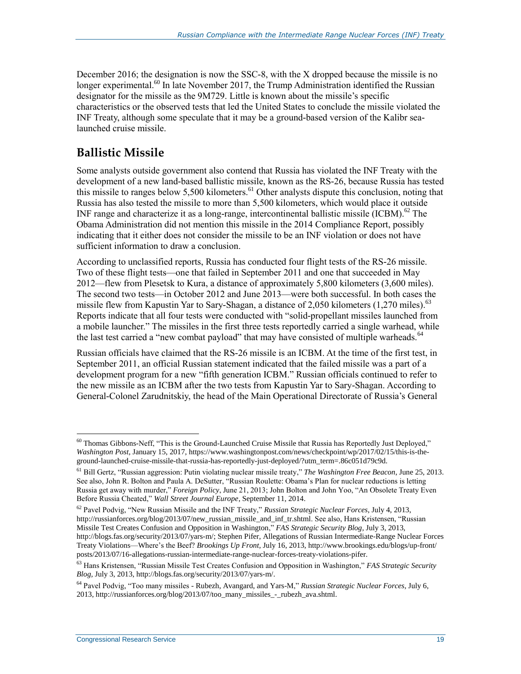December 2016; the designation is now the SSC-8, with the X dropped because the missile is no longer experimental.<sup>60</sup> In late November 2017, the Trump Administration identified the Russian designator for the missile as the 9M729. Little is known about the missile's specific characteristics or the observed tests that led the United States to conclude the missile violated the INF Treaty, although some speculate that it may be a ground-based version of the Kalibr sealaunched cruise missile.

### **Ballistic Missile**

Some analysts outside government also contend that Russia has violated the INF Treaty with the development of a new land-based ballistic missile, known as the RS-26, because Russia has tested this missile to ranges below 5,500 kilometers.<sup>61</sup> Other analysts dispute this conclusion, noting that Russia has also tested the missile to more than 5,500 kilometers, which would place it outside INF range and characterize it as a long-range, intercontinental ballistic missile (ICBM).<sup>62</sup> The Obama Administration did not mention this missile in the 2014 Compliance Report, possibly indicating that it either does not consider the missile to be an INF violation or does not have sufficient information to draw a conclusion.

According to unclassified reports, Russia has conducted four flight tests of the RS-26 missile. Two of these flight tests—one that failed in September 2011 and one that succeeded in May 2012—flew from Plesetsk to Kura, a distance of approximately 5,800 kilometers (3,600 miles). The second two tests—in October 2012 and June 2013—were both successful. In both cases the missile flew from Kapustin Yar to Sary-Shagan, a distance of 2,050 kilometers (1,270 miles).<sup>63</sup> Reports indicate that all four tests were conducted with "solid-propellant missiles launched from a mobile launcher." The missiles in the first three tests reportedly carried a single warhead, while the last test carried a "new combat payload" that may have consisted of multiple warheads.<sup>64</sup>

Russian officials have claimed that the RS-26 missile is an ICBM. At the time of the first test, in September 2011, an official Russian statement indicated that the failed missile was a part of a development program for a new "fifth generation ICBM." Russian officials continued to refer to the new missile as an ICBM after the two tests from Kapustin Yar to Sary-Shagan. According to General-Colonel Zarudnitskiy, the head of the Main Operational Directorate of Russia's General

 $60$  Thomas Gibbons-Neff, "This is the Ground-Launched Cruise Missile that Russia has Reportedly Just Deployed," *Washington Post*, January 15, 2017, https://www.washingtonpost.com/news/checkpoint/wp/2017/02/15/this-is-theground-launched-cruise-missile-that-russia-has-reportedly-just-deployed/?utm\_term=.86c051d79c9d.

<sup>61</sup> Bill Gertz, "Russian aggression: Putin violating nuclear missile treaty," *The Washington Free Beacon*, June 25, 2013. See also, John R. Bolton and Paula A. DeSutter, "Russian Roulette: Obama's Plan for nuclear reductions is letting Russia get away with murder," *Foreign Policy*, June 21, 2013; John Bolton and John Yoo, "An Obsolete Treaty Even Before Russia Cheated," *Wall Street Journal Europe*, September 11, 2014.

<sup>62</sup> Pavel Podvig, "New Russian Missile and the INF Treaty," *Russian Strategic Nuclear Forces*, July 4, 2013, http://russianforces.org/blog/2013/07/new\_russian\_missile\_and\_inf\_tr.shtml. See also, Hans Kristensen, "Russian Missile Test Creates Confusion and Opposition in Washington," *FAS Strategic Security Blog,* July 3, 2013, http://blogs.fas.org/security/2013/07/yars-m/; Stephen Pifer, Allegations of Russian Intermediate-Range Nuclear Forces Treaty Violations—Where's the Beef? *Brookings Up Front,* July 16, 2013, http://www.brookings.edu/blogs/up-front/ posts/2013/07/16-allegations-russian-intermediate-range-nuclear-forces-treaty-violations-pifer.

<sup>63</sup> Hans Kristensen, "Russian Missile Test Creates Confusion and Opposition in Washington," *FAS Strategic Security Blog,* July 3, 2013, http://blogs.fas.org/security/2013/07/yars-m/.

<sup>64</sup> Pavel Podvig, "Too many missiles - Rubezh, Avangard, and Yars-M," *Russian Strategic Nuclear Forces*, July 6, 2013, http://russianforces.org/blog/2013/07/too\_many\_missiles\_-\_rubezh\_ava.shtml.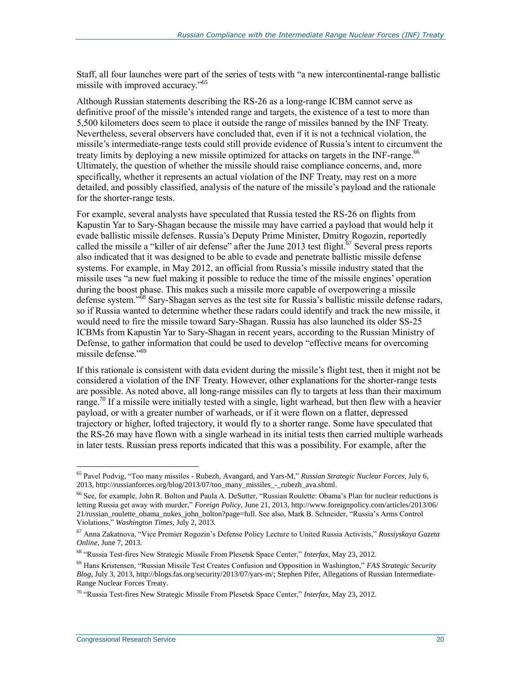Staff, all four launches were part of the series of tests with "a new intercontinental-range ballistic missile with improved accuracy." 65

Although Russian statements describing the RS-26 as a long-range ICBM cannot serve as definitive proof of the missile's intended range and targets, the existence of a test to more than 5,500 kilometers does seem to place it outside the range of missiles banned by the INF Treaty. Nevertheless, several observers have concluded that, even if it is not a technical violation, the missile's intermediate-range tests could still provide evidence of Russia's intent to circumvent the treaty limits by deploying a new missile optimized for attacks on targets in the INF-range.<sup>66</sup> Ultimately, the question of whether the missile should raise compliance concerns, and, more specifically, whether it represents an actual violation of the INF Treaty, may rest on a more detailed, and possibly classified, analysis of the nature of the missile's payload and the rationale for the shorter-range tests.

For example, several analysts have speculated that Russia tested the RS-26 on flights from Kapustin Yar to Sary-Shagan because the missile may have carried a payload that would help it evade ballistic missile defenses. Russia's Deputy Prime Minister, Dmitry Rogozin, reportedly called the missile a "killer of air defense" after the June 2013 test flight.<sup>67</sup> Several press reports also indicated that it was designed to be able to evade and penetrate ballistic missile defense systems. For example, in May 2012, an official from Russia's missile industry stated that the missile uses "a new fuel making it possible to reduce the time of the missile engines' operation during the boost phase. This makes such a missile more capable of overpowering a missile defense system."<sup>58</sup> Sary-Shagan serves as the test site for Russia's ballistic missile defense radars, so if Russia wanted to determine whether these radars could identify and track the new missile, it would need to fire the missile toward Sary-Shagan. Russia has also launched its older SS-25 ICBMs from Kapustin Yar to Sary-Shagan in recent years, according to the Russian Ministry of Defense, to gather information that could be used to develop "effective means for overcoming missile defense."<sup>69</sup>

If this rationale is consistent with data evident during the missile's flight test, then it might not be considered a violation of the INF Treaty. However, other explanations for the shorter-range tests are possible. As noted above, all long-range missiles can fly to targets at less than their maximum range.<sup>70</sup> If a missile were initially tested with a single, light warhead, but then flew with a heavier payload, or with a greater number of warheads, or if it were flown on a flatter, depressed trajectory or higher, lofted trajectory, it would fly to a shorter range. Some have speculated that the RS-26 may have flown with a single warhead in its initial tests then carried multiple warheads in later tests. Russian press reports indicated that this was a possibility. For example, after the

<sup>65</sup> Pavel Podvig, "Too many missiles - Rubezh, Avangard, and Yars-M," *Russian Strategic Nuclear Forces*, July 6, 2013, http://russianforces.org/blog/2013/07/too\_many\_missiles\_-\_rubezh\_ava.shtml.

<sup>66</sup> See, for example, John R. Bolton and Paula A. DeSutter, "Russian Roulette: Obama's Plan for nuclear reductions is letting Russia get away with murder," *Foreign Policy*, June 21, 2013, http://www.foreignpolicy.com/articles/2013/06/ 21/russian\_roulette\_obama\_nukes\_john\_bolton?page=full. See also, Mark B. Schneider, "Russia's Arms Control Violations," *Washington Times*, July 2, 2013.

<sup>67</sup> Anna Zakatnova, "Vice Premier Rogozin's Defense Policy Lecture to United Russia Activists," *Rossiyskaya Gazeta Online*, June 7, 2013.

<sup>68</sup> "Russia Test-fires New Strategic Missile From Plesetsk Space Center," *Interfax*, May 23, 2012.

<sup>69</sup> Hans Kristensen, "Russian Missile Test Creates Confusion and Opposition in Washington," *FAS Strategic Security Blog*, July 3, 2013, http://blogs.fas.org/security/2013/07/yars-m/; Stephen Pifer, Allegations of Russian Intermediate-Range Nuclear Forces Treaty.

<sup>70</sup> "Russia Test-fires New Strategic Missile From Plesetsk Space Center," *Interfax*, May 23, 2012.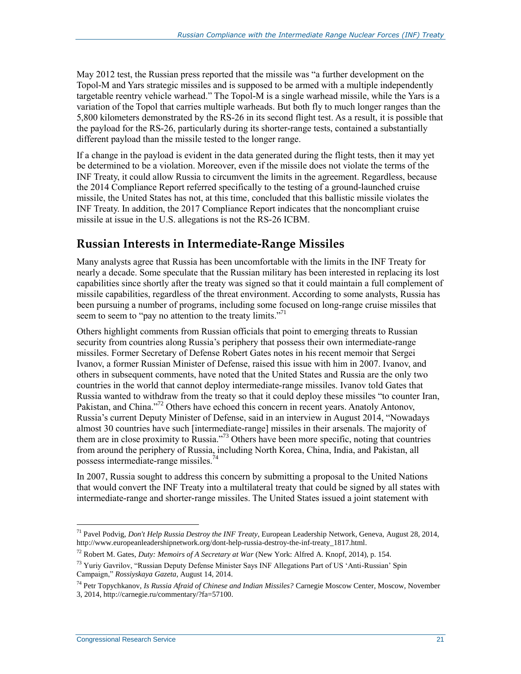May 2012 test, the Russian press reported that the missile was "a further development on the Topol-M and Yars strategic missiles and is supposed to be armed with a multiple independently targetable reentry vehicle warhead." The Topol-M is a single warhead missile, while the Yars is a variation of the Topol that carries multiple warheads. But both fly to much longer ranges than the 5,800 kilometers demonstrated by the RS-26 in its second flight test. As a result, it is possible that the payload for the RS-26, particularly during its shorter-range tests, contained a substantially different payload than the missile tested to the longer range.

If a change in the payload is evident in the data generated during the flight tests, then it may yet be determined to be a violation. Moreover, even if the missile does not violate the terms of the INF Treaty, it could allow Russia to circumvent the limits in the agreement. Regardless, because the 2014 Compliance Report referred specifically to the testing of a ground-launched cruise missile, the United States has not, at this time, concluded that this ballistic missile violates the INF Treaty. In addition, the 2017 Compliance Report indicates that the noncompliant cruise missile at issue in the U.S. allegations is not the RS-26 ICBM.

### **Russian Interests in Intermediate-Range Missiles**

Many analysts agree that Russia has been uncomfortable with the limits in the INF Treaty for nearly a decade. Some speculate that the Russian military has been interested in replacing its lost capabilities since shortly after the treaty was signed so that it could maintain a full complement of missile capabilities, regardless of the threat environment. According to some analysts, Russia has been pursuing a number of programs, including some focused on long-range cruise missiles that seem to seem to "pay no attention to the treaty limits."<sup>71</sup>

Others highlight comments from Russian officials that point to emerging threats to Russian security from countries along Russia's periphery that possess their own intermediate-range missiles. Former Secretary of Defense Robert Gates notes in his recent memoir that Sergei Ivanov, a former Russian Minister of Defense, raised this issue with him in 2007. Ivanov, and others in subsequent comments, have noted that the United States and Russia are the only two countries in the world that cannot deploy intermediate-range missiles. Ivanov told Gates that Russia wanted to withdraw from the treaty so that it could deploy these missiles "to counter Iran, Pakistan, and China."<sup>72</sup> Others have echoed this concern in recent years. Anatoly Antonov, Russia's current Deputy Minister of Defense, said in an interview in August 2014, "Nowadays almost 30 countries have such [intermediate-range] missiles in their arsenals. The majority of them are in close proximity to Russia."<sup>73</sup> Others have been more specific, noting that countries from around the periphery of Russia, including North Korea, China, India, and Pakistan, all possess intermediate-range missiles.<sup>74</sup>

In 2007, Russia sought to address this concern by submitting a proposal to the United Nations that would convert the INF Treaty into a multilateral treaty that could be signed by all states with intermediate-range and shorter-range missiles. The United States issued a joint statement with

<sup>71</sup> Pavel Podvig, *Don't Help Russia Destroy the INF Treaty*, European Leadership Network, Geneva, August 28, 2014, http://www.europeanleadershipnetwork.org/dont-help-russia-destroy-the-inf-treaty\_1817.html.

<sup>72</sup> Robert M. Gates, *Duty: Memoirs of A Secretary at War* (New York: Alfred A. Knopf, 2014), p. 154.

<sup>&</sup>lt;sup>73</sup> Yuriy Gavrilov, "Russian Deputy Defense Minister Says INF Allegations Part of US 'Anti-Russian' Spin Campaign," *Rossiyskaya Gazeta*, August 14, 2014.

<sup>74</sup> Petr Topychkanov, *Is Russia Afraid of Chinese and Indian Missiles?* Carnegie Moscow Center, Moscow, November 3, 2014, http://carnegie.ru/commentary/?fa=57100.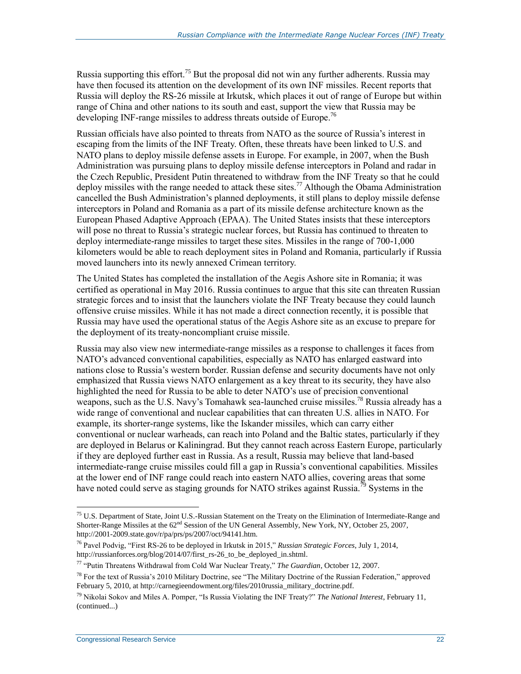Russia supporting this effort.<sup>75</sup> But the proposal did not win any further adherents. Russia may have then focused its attention on the development of its own INF missiles. Recent reports that Russia will deploy the RS-26 missile at Irkutsk, which places it out of range of Europe but within range of China and other nations to its south and east, support the view that Russia may be developing INF-range missiles to address threats outside of Europe.<sup>76</sup>

Russian officials have also pointed to threats from NATO as the source of Russia's interest in escaping from the limits of the INF Treaty. Often, these threats have been linked to U.S. and NATO plans to deploy missile defense assets in Europe. For example, in 2007, when the Bush Administration was pursuing plans to deploy missile defense interceptors in Poland and radar in the Czech Republic, President Putin threatened to withdraw from the INF Treaty so that he could deploy missiles with the range needed to attack these sites.<sup>77</sup> Although the Obama Administration cancelled the Bush Administration's planned deployments, it still plans to deploy missile defense interceptors in Poland and Romania as a part of its missile defense architecture known as the European Phased Adaptive Approach (EPAA). The United States insists that these interceptors will pose no threat to Russia's strategic nuclear forces, but Russia has continued to threaten to deploy intermediate-range missiles to target these sites. Missiles in the range of 700-1,000 kilometers would be able to reach deployment sites in Poland and Romania, particularly if Russia moved launchers into its newly annexed Crimean territory.

The United States has completed the installation of the Aegis Ashore site in Romania; it was certified as operational in May 2016. Russia continues to argue that this site can threaten Russian strategic forces and to insist that the launchers violate the INF Treaty because they could launch offensive cruise missiles. While it has not made a direct connection recently, it is possible that Russia may have used the operational status of the Aegis Ashore site as an excuse to prepare for the deployment of its treaty-noncompliant cruise missile.

Russia may also view new intermediate-range missiles as a response to challenges it faces from NATO's advanced conventional capabilities, especially as NATO has enlarged eastward into nations close to Russia's western border. Russian defense and security documents have not only emphasized that Russia views NATO enlargement as a key threat to its security, they have also highlighted the need for Russia to be able to deter NATO's use of precision conventional weapons, such as the U.S. Navy's Tomahawk sea-launched cruise missiles.<sup>78</sup> Russia already has a wide range of conventional and nuclear capabilities that can threaten U.S. allies in NATO. For example, its shorter-range systems, like the Iskander missiles, which can carry either conventional or nuclear warheads, can reach into Poland and the Baltic states, particularly if they are deployed in Belarus or Kaliningrad. But they cannot reach across Eastern Europe, particularly if they are deployed further east in Russia. As a result, Russia may believe that land-based intermediate-range cruise missiles could fill a gap in Russia's conventional capabilities. Missiles at the lower end of INF range could reach into eastern NATO allies, covering areas that some have noted could serve as staging grounds for NATO strikes against Russia.<sup>79</sup> Systems in the

<sup>&</sup>lt;sup>75</sup> U.S. Department of State, Joint U.S.-Russian Statement on the Treaty on the Elimination of Intermediate-Range and Shorter-Range Missiles at the 62<sup>nd</sup> Session of the UN General Assembly, New York, NY, October 25, 2007, http://2001-2009.state.gov/r/pa/prs/ps/2007/oct/94141.htm.

<sup>76</sup> Pavel Podvig, "First RS-26 to be deployed in Irkutsk in 2015," *Russian Strategic Forces*, July 1, 2014, http://russianforces.org/blog/2014/07/first\_rs-26\_to\_be\_deployed\_in.shtml.

<sup>77</sup> "Putin Threatens Withdrawal from Cold War Nuclear Treaty," *The Guardian*, October 12, 2007.

 $^{78}$  For the text of Russia's 2010 Military Doctrine, see "The Military Doctrine of the Russian Federation," approved February 5, 2010, at http://carnegieendowment.org/files/2010russia\_military\_doctrine.pdf.

<sup>79</sup> Nikolai Sokov and Miles A. Pomper, "Is Russia Violating the INF Treaty?" *The National Interest*, February 11, (continued...)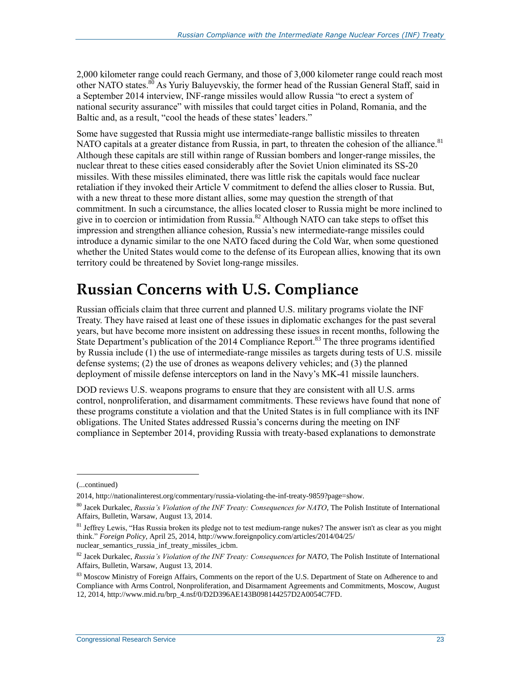2,000 kilometer range could reach Germany, and those of 3,000 kilometer range could reach most other NATO states.<sup>80</sup> As Yuriy Baluyevskiy, the former head of the Russian General Staff, said in a September 2014 interview, INF-range missiles would allow Russia "to erect a system of national security assurance" with missiles that could target cities in Poland, Romania, and the Baltic and, as a result, "cool the heads of these states' leaders."

Some have suggested that Russia might use intermediate-range ballistic missiles to threaten NATO capitals at a greater distance from Russia, in part, to threaten the cohesion of the alliance.<sup>81</sup> Although these capitals are still within range of Russian bombers and longer-range missiles, the nuclear threat to these cities eased considerably after the Soviet Union eliminated its SS-20 missiles. With these missiles eliminated, there was little risk the capitals would face nuclear retaliation if they invoked their Article V commitment to defend the allies closer to Russia. But, with a new threat to these more distant allies, some may question the strength of that commitment. In such a circumstance, the allies located closer to Russia might be more inclined to give in to coercion or intimidation from Russia.<sup>82</sup> Although NATO can take steps to offset this impression and strengthen alliance cohesion, Russia's new intermediate-range missiles could introduce a dynamic similar to the one NATO faced during the Cold War, when some questioned whether the United States would come to the defense of its European allies, knowing that its own territory could be threatened by Soviet long-range missiles.

## **Russian Concerns with U.S. Compliance**

Russian officials claim that three current and planned U.S. military programs violate the INF Treaty. They have raised at least one of these issues in diplomatic exchanges for the past several years, but have become more insistent on addressing these issues in recent months, following the State Department's publication of the 2014 Compliance Report.<sup>83</sup> The three programs identified by Russia include  $(1)$  the use of intermediate-range missiles as targets during tests of U.S. missile defense systems; (2) the use of drones as weapons delivery vehicles; and (3) the planned deployment of missile defense interceptors on land in the Navy's MK-41 missile launchers.

DOD reviews U.S. weapons programs to ensure that they are consistent with all U.S. arms control, nonproliferation, and disarmament commitments. These reviews have found that none of these programs constitute a violation and that the United States is in full compliance with its INF obligations. The United States addressed Russia's concerns during the meeting on INF compliance in September 2014, providing Russia with treaty-based explanations to demonstrate

<sup>(...</sup>continued)

<sup>2014,</sup> http://nationalinterest.org/commentary/russia-violating-the-inf-treaty-9859?page=show.

<sup>80</sup> Jacek Durkalec, *Russia's Violation of the INF Treaty: Consequences for NATO*, The Polish Institute of International Affairs, Bulletin, Warsaw, August 13, 2014.

<sup>&</sup>lt;sup>81</sup> Jeffrey Lewis, "Has Russia broken its pledge not to test medium-range nukes? The answer isn't as clear as you might think." *Foreign Policy*, April 25, 2014, http://www.foreignpolicy.com/articles/2014/04/25/ nuclear semantics russia inf treaty missiles icbm.

<sup>82</sup> Jacek Durkalec, *Russia's Violation of the INF Treaty: Consequences for NATO*, The Polish Institute of International Affairs, Bulletin, Warsaw, August 13, 2014.

<sup>&</sup>lt;sup>83</sup> Moscow Ministry of Foreign Affairs, Comments on the report of the U.S. Department of State on Adherence to and Compliance with Arms Control, Nonproliferation, and Disarmament Agreements and Commitments, Moscow, August 12, 2014, http://www.mid.ru/brp\_4.nsf/0/D2D396AE143B098144257D2A0054C7FD.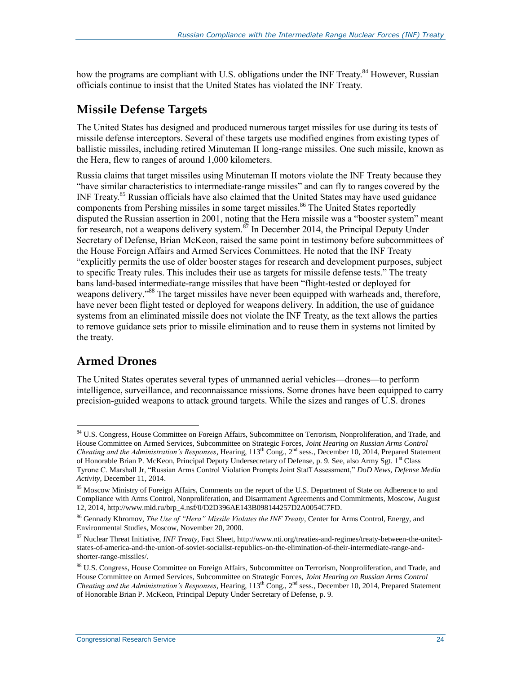how the programs are compliant with U.S. obligations under the INF Treaty.<sup>84</sup> However, Russian officials continue to insist that the United States has violated the INF Treaty.

### **Missile Defense Targets**

The United States has designed and produced numerous target missiles for use during its tests of missile defense interceptors. Several of these targets use modified engines from existing types of ballistic missiles, including retired Minuteman II long-range missiles. One such missile, known as the Hera, flew to ranges of around 1,000 kilometers.

Russia claims that target missiles using Minuteman II motors violate the INF Treaty because they "have similar characteristics to intermediate-range missiles" and can fly to ranges covered by the INF Treaty.<sup>85</sup> Russian officials have also claimed that the United States may have used guidance components from Pershing missiles in some target missiles.<sup>86</sup> The United States reportedly disputed the Russian assertion in 2001, noting that the Hera missile was a "booster system" meant for research, not a weapons delivery system. $\frac{87}{10}$  In December 2014, the Principal Deputy Under Secretary of Defense, Brian McKeon, raised the same point in testimony before subcommittees of the House Foreign Affairs and Armed Services Committees. He noted that the INF Treaty "explicitly permits the use of older booster stages for research and development purposes, subject to specific Treaty rules. This includes their use as targets for missile defense tests." The treaty bans land-based intermediate-range missiles that have been "flight-tested or deployed for weapons delivery."<sup>88</sup> The target missiles have never been equipped with warheads and, therefore, have never been flight tested or deployed for weapons delivery. In addition, the use of guidance systems from an eliminated missile does not violate the INF Treaty, as the text allows the parties to remove guidance sets prior to missile elimination and to reuse them in systems not limited by the treaty.

## **Armed Drones**

 $\overline{a}$ 

The United States operates several types of unmanned aerial vehicles—drones—to perform intelligence, surveillance, and reconnaissance missions. Some drones have been equipped to carry precision-guided weapons to attack ground targets. While the sizes and ranges of U.S. drones

<sup>&</sup>lt;sup>84</sup> U.S. Congress, House Committee on Foreign Affairs, Subcommittee on Terrorism, Nonproliferation, and Trade, and House Committee on Armed Services, Subcommittee on Strategic Forces, *Joint Hearing on Russian Arms Control Cheating and the Administration's Responses*, Hearing, 113th Cong., 2nd sess., December 10, 2014, Prepared Statement of Honorable Brian P. McKeon, Principal Deputy Undersecretary of Defense, p. 9. See, also Army Sgt. 1<sup>st</sup> Class Tyrone C. Marshall Jr, "Russian Arms Control Violation Prompts Joint Staff Assessment," *DoD News, Defense Media Activity*, December 11, 2014.

<sup>&</sup>lt;sup>85</sup> Moscow Ministry of Foreign Affairs, Comments on the report of the U.S. Department of State on Adherence to and Compliance with Arms Control, Nonproliferation, and Disarmament Agreements and Commitments, Moscow, August 12, 2014, http://www.mid.ru/brp\_4.nsf/0/D2D396AE143B098144257D2A0054C7FD.

<sup>86</sup> Gennady Khromov, *The Use of "Hera" Missile Violates the INF Treaty*, Center for Arms Control, Energy, and Environmental Studies, Moscow, November 20, 2000.

<sup>87</sup> Nuclear Threat Initiative, *INF Treaty*, Fact Sheet, http://www.nti.org/treaties-and-regimes/treaty-between-the-unitedstates-of-america-and-the-union-of-soviet-socialist-republics-on-the-elimination-of-their-intermediate-range-andshorter-range-missiles/.

<sup>88</sup> U.S. Congress, House Committee on Foreign Affairs, Subcommittee on Terrorism, Nonproliferation, and Trade, and House Committee on Armed Services, Subcommittee on Strategic Forces, *Joint Hearing on Russian Arms Control Cheating and the Administration's Responses*, Hearing, 113th Cong., 2nd sess., December 10, 2014, Prepared Statement of Honorable Brian P. McKeon, Principal Deputy Under Secretary of Defense, p. 9.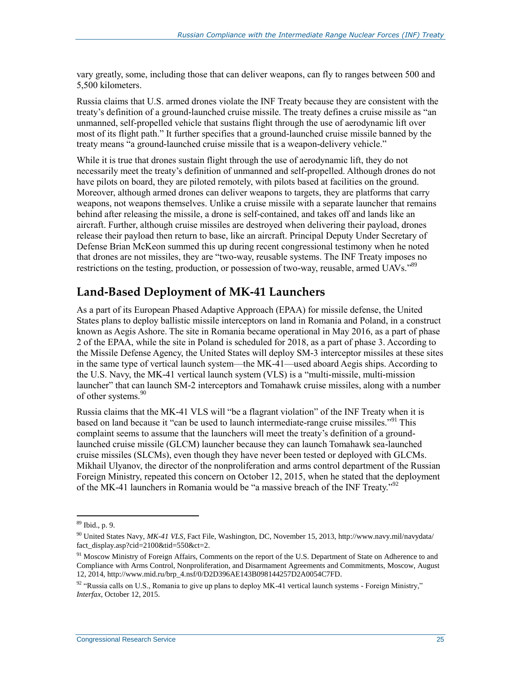vary greatly, some, including those that can deliver weapons, can fly to ranges between 500 and 5,500 kilometers.

Russia claims that U.S. armed drones violate the INF Treaty because they are consistent with the treaty's definition of a ground-launched cruise missile. The treaty defines a cruise missile as "an unmanned, self-propelled vehicle that sustains flight through the use of aerodynamic lift over most of its flight path." It further specifies that a ground-launched cruise missile banned by the treaty means "a ground-launched cruise missile that is a weapon-delivery vehicle."

While it is true that drones sustain flight through the use of aerodynamic lift, they do not necessarily meet the treaty's definition of unmanned and self-propelled. Although drones do not have pilots on board, they are piloted remotely, with pilots based at facilities on the ground. Moreover, although armed drones can deliver weapons to targets, they are platforms that carry weapons, not weapons themselves. Unlike a cruise missile with a separate launcher that remains behind after releasing the missile, a drone is self-contained, and takes off and lands like an aircraft. Further, although cruise missiles are destroyed when delivering their payload, drones release their payload then return to base, like an aircraft. Principal Deputy Under Secretary of Defense Brian McKeon summed this up during recent congressional testimony when he noted that drones are not missiles, they are "two-way, reusable systems. The INF Treaty imposes no restrictions on the testing, production, or possession of two-way, reusable, armed UAVs."<sup>89</sup>

### **Land-Based Deployment of MK-41 Launchers**

As a part of its European Phased Adaptive Approach (EPAA) for missile defense, the United States plans to deploy ballistic missile interceptors on land in Romania and Poland, in a construct known as Aegis Ashore. The site in Romania became operational in May 2016, as a part of phase 2 of the EPAA, while the site in Poland is scheduled for 2018, as a part of phase 3. According to the Missile Defense Agency, the United States will deploy SM-3 interceptor missiles at these sites in the same type of vertical launch system—the MK-41—used aboard Aegis ships. According to the U.S. Navy, the MK-41 vertical launch system (VLS) is a "multi-missile, multi-mission launcher" that can launch SM-2 interceptors and Tomahawk cruise missiles, along with a number of other systems.<sup>90</sup>

Russia claims that the MK-41 VLS will "be a flagrant violation" of the INF Treaty when it is based on land because it "can be used to launch intermediate-range cruise missiles."<sup>91</sup> This complaint seems to assume that the launchers will meet the treaty's definition of a groundlaunched cruise missile (GLCM) launcher because they can launch Tomahawk sea-launched cruise missiles (SLCMs), even though they have never been tested or deployed with GLCMs. Mikhail Ulyanov, the director of the nonproliferation and arms control department of the Russian Foreign Ministry, repeated this concern on October 12, 2015, when he stated that the deployment of the MK-41 launchers in Romania would be "a massive breach of the INF Treaty."<sup>92</sup>

<sup>89</sup> Ibid., p. 9.

<sup>90</sup> United States Navy, *MK-41 VLS*, Fact File, Washington, DC, November 15, 2013, http://www.navy.mil/navydata/ fact\_display.asp?cid=2100&tid=550&ct=2.

<sup>&</sup>lt;sup>91</sup> Moscow Ministry of Foreign Affairs, Comments on the report of the U.S. Department of State on Adherence to and Compliance with Arms Control, Nonproliferation, and Disarmament Agreements and Commitments, Moscow, August 12, 2014, http://www.mid.ru/brp\_4.nsf/0/D2D396AE143B098144257D2A0054C7FD.

<sup>92 &</sup>quot;Russia calls on U.S., Romania to give up plans to deploy MK-41 vertical launch systems - Foreign Ministry," *Interfax*, October 12, 2015.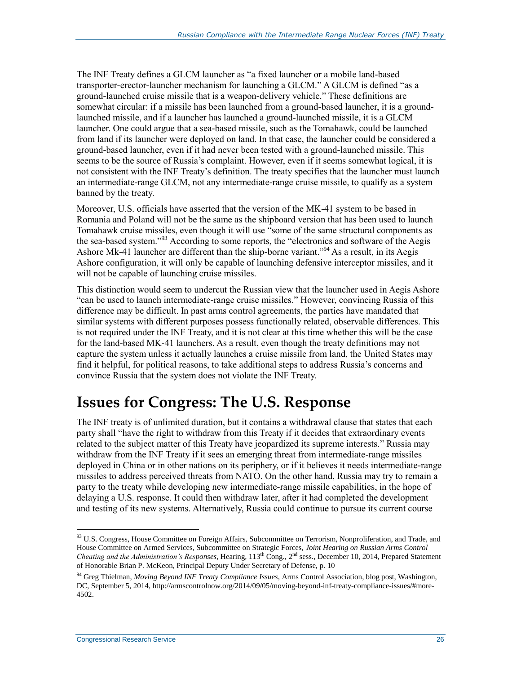The INF Treaty defines a GLCM launcher as "a fixed launcher or a mobile land-based transporter-erector-launcher mechanism for launching a GLCM." A GLCM is defined "as a ground-launched cruise missile that is a weapon-delivery vehicle." These definitions are somewhat circular: if a missile has been launched from a ground-based launcher, it is a groundlaunched missile, and if a launcher has launched a ground-launched missile, it is a GLCM launcher. One could argue that a sea-based missile, such as the Tomahawk, could be launched from land if its launcher were deployed on land. In that case, the launcher could be considered a ground-based launcher, even if it had never been tested with a ground-launched missile. This seems to be the source of Russia's complaint. However, even if it seems somewhat logical, it is not consistent with the INF Treaty's definition. The treaty specifies that the launcher must launch an intermediate-range GLCM, not any intermediate-range cruise missile, to qualify as a system banned by the treaty.

Moreover, U.S. officials have asserted that the version of the MK-41 system to be based in Romania and Poland will not be the same as the shipboard version that has been used to launch Tomahawk cruise missiles, even though it will use "some of the same structural components as the sea-based system."<sup>93</sup> According to some reports, the "electronics and software of the Aegis Ashore Mk-41 launcher are different than the ship-borne variant."<sup>94</sup> As a result, in its Aegis Ashore configuration, it will only be capable of launching defensive interceptor missiles, and it will not be capable of launching cruise missiles.

This distinction would seem to undercut the Russian view that the launcher used in Aegis Ashore "can be used to launch intermediate-range cruise missiles." However, convincing Russia of this difference may be difficult. In past arms control agreements, the parties have mandated that similar systems with different purposes possess functionally related, observable differences. This is not required under the INF Treaty, and it is not clear at this time whether this will be the case for the land-based MK-41 launchers. As a result, even though the treaty definitions may not capture the system unless it actually launches a cruise missile from land, the United States may find it helpful, for political reasons, to take additional steps to address Russia's concerns and convince Russia that the system does not violate the INF Treaty.

## **Issues for Congress: The U.S. Response**

The INF treaty is of unlimited duration, but it contains a withdrawal clause that states that each party shall "have the right to withdraw from this Treaty if it decides that extraordinary events related to the subject matter of this Treaty have jeopardized its supreme interests." Russia may withdraw from the INF Treaty if it sees an emerging threat from intermediate-range missiles deployed in China or in other nations on its periphery, or if it believes it needs intermediate-range missiles to address perceived threats from NATO. On the other hand, Russia may try to remain a party to the treaty while developing new intermediate-range missile capabilities, in the hope of delaying a U.S. response. It could then withdraw later, after it had completed the development and testing of its new systems. Alternatively, Russia could continue to pursue its current course

<sup>93</sup> U.S. Congress, House Committee on Foreign Affairs, Subcommittee on Terrorism, Nonproliferation, and Trade, and House Committee on Armed Services, Subcommittee on Strategic Forces, *Joint Hearing on Russian Arms Control Cheating and the Administration's Responses*, Hearing, 113th Cong., 2nd sess., December 10, 2014, Prepared Statement of Honorable Brian P. McKeon, Principal Deputy Under Secretary of Defense, p. 10

<sup>94</sup> Greg Thielman, *Moving Beyond INF Treaty Compliance Issues*, Arms Control Association, blog post, Washington, DC, September 5, 2014, http://armscontrolnow.org/2014/09/05/moving-beyond-inf-treaty-compliance-issues/#more-4502.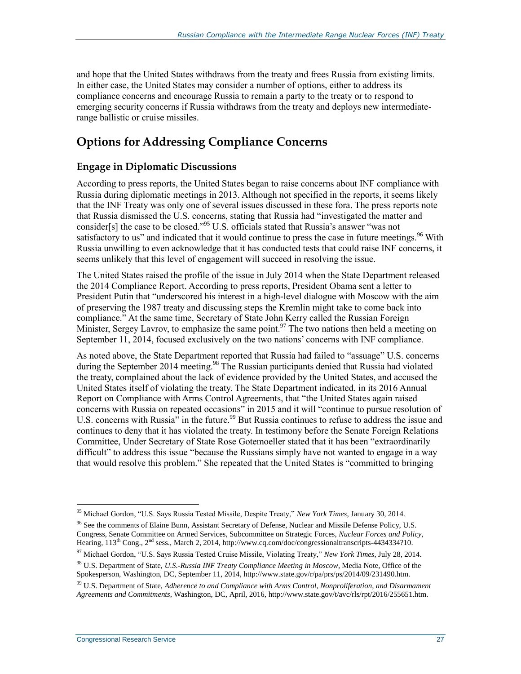and hope that the United States withdraws from the treaty and frees Russia from existing limits. In either case, the United States may consider a number of options, either to address its compliance concerns and encourage Russia to remain a party to the treaty or to respond to emerging security concerns if Russia withdraws from the treaty and deploys new intermediaterange ballistic or cruise missiles.

## **Options for Addressing Compliance Concerns**

#### **Engage in Diplomatic Discussions**

According to press reports, the United States began to raise concerns about INF compliance with Russia during diplomatic meetings in 2013. Although not specified in the reports, it seems likely that the INF Treaty was only one of several issues discussed in these fora. The press reports note that Russia dismissed the U.S. concerns, stating that Russia had "investigated the matter and consider<sup>[s]</sup> the case to be closed."<sup>95</sup> U.S. officials stated that Russia's answer "was not satisfactory to us" and indicated that it would continue to press the case in future meetings.<sup>96</sup> With Russia unwilling to even acknowledge that it has conducted tests that could raise INF concerns, it seems unlikely that this level of engagement will succeed in resolving the issue.

The United States raised the profile of the issue in July 2014 when the State Department released the 2014 Compliance Report. According to press reports, President Obama sent a letter to President Putin that "underscored his interest in a high-level dialogue with Moscow with the aim of preserving the 1987 treaty and discussing steps the Kremlin might take to come back into compliance." At the same time, Secretary of State John Kerry called the Russian Foreign Minister, Sergey Lavrov, to emphasize the same point.<sup>97</sup> The two nations then held a meeting on September 11, 2014, focused exclusively on the two nations' concerns with INF compliance.

As noted above, the State Department reported that Russia had failed to "assuage" U.S. concerns during the September 2014 meeting.<sup>98</sup> The Russian participants denied that Russia had violated the treaty, complained about the lack of evidence provided by the United States, and accused the United States itself of violating the treaty. The State Department indicated, in its 2016 Annual Report on Compliance with Arms Control Agreements, that "the United States again raised concerns with Russia on repeated occasions" in 2015 and it will "continue to pursue resolution of U.S. concerns with Russia<sup>7</sup> in the future.<sup>99</sup> But Russia continues to refuse to address the issue and continues to deny that it has violated the treaty. In testimony before the Senate Foreign Relations Committee, Under Secretary of State Rose Gotemoeller stated that it has been "extraordinarily difficult" to address this issue "because the Russians simply have not wanted to engage in a way that would resolve this problem." She repeated that the United States is "committed to bringing

<sup>95</sup> Michael Gordon, "U.S. Says Russia Tested Missile, Despite Treaty," *New York Times*, January 30, 2014.

<sup>&</sup>lt;sup>96</sup> See the comments of Elaine Bunn, Assistant Secretary of Defense, Nuclear and Missile Defense Policy, U.S. Congress, Senate Committee on Armed Services, Subcommittee on Strategic Forces, *Nuclear Forces and Policy*, Hearing, 113<sup>th</sup> Cong., 2<sup>nd</sup> sess., March 2, 2014, http://www.cq.com/doc/congressionaltranscripts-4434334?10.

<sup>97</sup> Michael Gordon, "U.S. Says Russia Tested Cruise Missile, Violating Treaty," *New York Times*, July 28, 2014.

<sup>98</sup> U.S. Department of State, *U.S.-Russia INF Treaty Compliance Meeting in Moscow*, Media Note, Office of the Spokesperson, Washington, DC, September 11, 2014, http://www.state.gov/r/pa/prs/ps/2014/09/231490.htm.

<sup>99</sup> U.S. Department of State, *Adherence to and Compliance with Arms Control, Nonproliferation, and Disarmament Agreements and Commitments*, Washington, DC, April, 2016, http://www.state.gov/t/avc/rls/rpt/2016/255651.htm.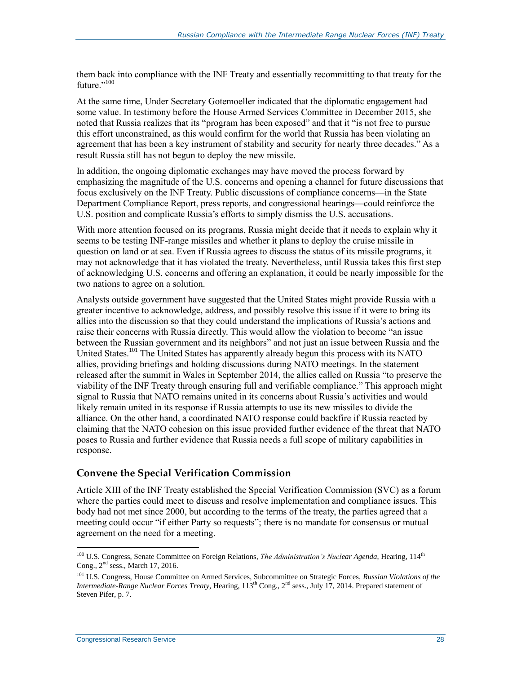them back into compliance with the INF Treaty and essentially recommitting to that treaty for the future."<sup>100</sup>

At the same time, Under Secretary Gotemoeller indicated that the diplomatic engagement had some value. In testimony before the House Armed Services Committee in December 2015, she noted that Russia realizes that its "program has been exposed" and that it "is not free to pursue this effort unconstrained, as this would confirm for the world that Russia has been violating an agreement that has been a key instrument of stability and security for nearly three decades." As a result Russia still has not begun to deploy the new missile.

In addition, the ongoing diplomatic exchanges may have moved the process forward by emphasizing the magnitude of the U.S. concerns and opening a channel for future discussions that focus exclusively on the INF Treaty. Public discussions of compliance concerns—in the State Department Compliance Report, press reports, and congressional hearings—could reinforce the U.S. position and complicate Russia's efforts to simply dismiss the U.S. accusations.

With more attention focused on its programs, Russia might decide that it needs to explain why it seems to be testing INF-range missiles and whether it plans to deploy the cruise missile in question on land or at sea. Even if Russia agrees to discuss the status of its missile programs, it may not acknowledge that it has violated the treaty. Nevertheless, until Russia takes this first step of acknowledging U.S. concerns and offering an explanation, it could be nearly impossible for the two nations to agree on a solution.

Analysts outside government have suggested that the United States might provide Russia with a greater incentive to acknowledge, address, and possibly resolve this issue if it were to bring its allies into the discussion so that they could understand the implications of Russia's actions and raise their concerns with Russia directly. This would allow the violation to become "an issue between the Russian government and its neighbors" and not just an issue between Russia and the United States.<sup>101</sup> The United States has apparently already begun this process with its NATO allies, providing briefings and holding discussions during NATO meetings. In the statement released after the summit in Wales in September 2014, the allies called on Russia "to preserve the viability of the INF Treaty through ensuring full and verifiable compliance." This approach might signal to Russia that NATO remains united in its concerns about Russia's activities and would likely remain united in its response if Russia attempts to use its new missiles to divide the alliance. On the other hand, a coordinated NATO response could backfire if Russia reacted by claiming that the NATO cohesion on this issue provided further evidence of the threat that NATO poses to Russia and further evidence that Russia needs a full scope of military capabilities in response.

#### **Convene the Special Verification Commission**

Article XIII of the INF Treaty established the Special Verification Commission (SVC) as a forum where the parties could meet to discuss and resolve implementation and compliance issues. This body had not met since 2000, but according to the terms of the treaty, the parties agreed that a meeting could occur "if either Party so requests"; there is no mandate for consensus or mutual agreement on the need for a meeting.

<sup>&</sup>lt;sup>100</sup> U.S. Congress, Senate Committee on Foreign Relations, *The Administration's Nuclear Agenda*, Hearing, 114<sup>th</sup> Cong., 2nd sess., March 17, 2016.

<sup>101</sup> U.S. Congress, House Committee on Armed Services, Subcommittee on Strategic Forces, *Russian Violations of the Intermediate-Range Nuclear Forces Treaty*, Hearing, 113th Cong., 2nd sess., July 17, 2014. Prepared statement of Steven Pifer, p. 7.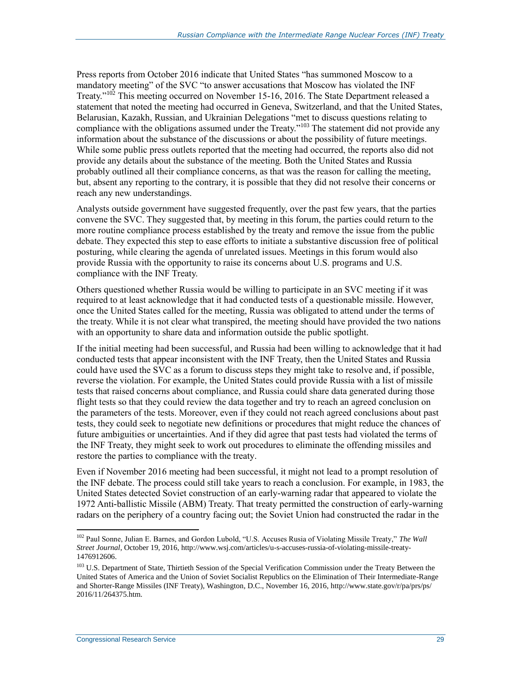Press reports from October 2016 indicate that United States "has summoned Moscow to a mandatory meeting" of the SVC "to answer accusations that Moscow has violated the INF Treaty."<sup>102</sup> This meeting occurred on November 15-16, 2016. The State Department released a statement that noted the meeting had occurred in Geneva, Switzerland, and that the United States, Belarusian, Kazakh, Russian, and Ukrainian Delegations "met to discuss questions relating to compliance with the obligations assumed under the Treaty."<sup>103</sup> The statement did not provide any information about the substance of the discussions or about the possibility of future meetings. While some public press outlets reported that the meeting had occurred, the reports also did not provide any details about the substance of the meeting. Both the United States and Russia probably outlined all their compliance concerns, as that was the reason for calling the meeting, but, absent any reporting to the contrary, it is possible that they did not resolve their concerns or reach any new understandings.

Analysts outside government have suggested frequently, over the past few years, that the parties convene the SVC. They suggested that, by meeting in this forum, the parties could return to the more routine compliance process established by the treaty and remove the issue from the public debate. They expected this step to ease efforts to initiate a substantive discussion free of political posturing, while clearing the agenda of unrelated issues. Meetings in this forum would also provide Russia with the opportunity to raise its concerns about U.S. programs and U.S. compliance with the INF Treaty.

Others questioned whether Russia would be willing to participate in an SVC meeting if it was required to at least acknowledge that it had conducted tests of a questionable missile. However, once the United States called for the meeting, Russia was obligated to attend under the terms of the treaty. While it is not clear what transpired, the meeting should have provided the two nations with an opportunity to share data and information outside the public spotlight.

If the initial meeting had been successful, and Russia had been willing to acknowledge that it had conducted tests that appear inconsistent with the INF Treaty, then the United States and Russia could have used the SVC as a forum to discuss steps they might take to resolve and, if possible, reverse the violation. For example, the United States could provide Russia with a list of missile tests that raised concerns about compliance, and Russia could share data generated during those flight tests so that they could review the data together and try to reach an agreed conclusion on the parameters of the tests. Moreover, even if they could not reach agreed conclusions about past tests, they could seek to negotiate new definitions or procedures that might reduce the chances of future ambiguities or uncertainties. And if they did agree that past tests had violated the terms of the INF Treaty, they might seek to work out procedures to eliminate the offending missiles and restore the parties to compliance with the treaty.

Even if November 2016 meeting had been successful, it might not lead to a prompt resolution of the INF debate. The process could still take years to reach a conclusion. For example, in 1983, the United States detected Soviet construction of an early-warning radar that appeared to violate the 1972 Anti-ballistic Missile (ABM) Treaty. That treaty permitted the construction of early-warning radars on the periphery of a country facing out; the Soviet Union had constructed the radar in the

<sup>102</sup> Paul Sonne, Julian E. Barnes, and Gordon Lubold, "U.S. Accuses Rusia of Violating Missile Treaty," *The Wall Street Journal*, October 19, 2016, http://www.wsj.com/articles/u-s-accuses-russia-of-violating-missile-treaty-1476912606.

<sup>&</sup>lt;sup>103</sup> U.S. Department of State, Thirtieth Session of the Special Verification Commission under the Treaty Between the United States of America and the Union of Soviet Socialist Republics on the Elimination of Their Intermediate-Range and Shorter-Range Missiles (INF Treaty), Washington, D.C., November 16, 2016, http://www.state.gov/r/pa/prs/ps/ 2016/11/264375.htm.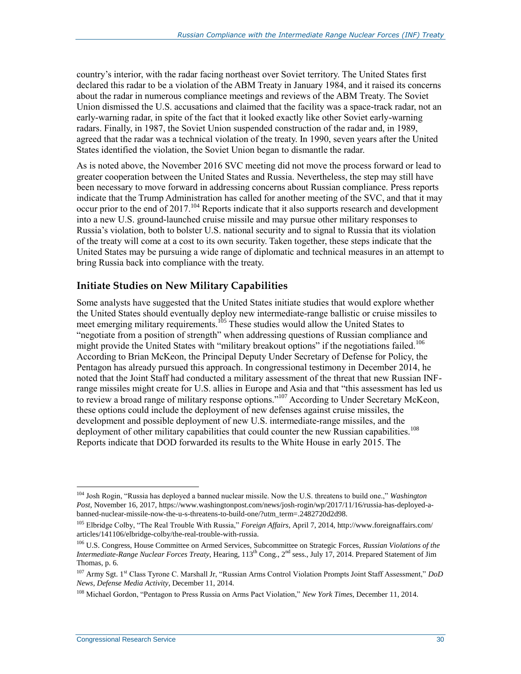country's interior, with the radar facing northeast over Soviet territory. The United States first declared this radar to be a violation of the ABM Treaty in January 1984, and it raised its concerns about the radar in numerous compliance meetings and reviews of the ABM Treaty. The Soviet Union dismissed the U.S. accusations and claimed that the facility was a space-track radar, not an early-warning radar, in spite of the fact that it looked exactly like other Soviet early-warning radars. Finally, in 1987, the Soviet Union suspended construction of the radar and, in 1989, agreed that the radar was a technical violation of the treaty. In 1990, seven years after the United States identified the violation, the Soviet Union began to dismantle the radar.

As is noted above, the November 2016 SVC meeting did not move the process forward or lead to greater cooperation between the United States and Russia. Nevertheless, the step may still have been necessary to move forward in addressing concerns about Russian compliance. Press reports indicate that the Trump Administration has called for another meeting of the SVC, and that it may occur prior to the end of 2017.<sup>104</sup> Reports indicate that it also supports research and development into a new U.S. ground-launched cruise missile and may pursue other military responses to Russia's violation, both to bolster U.S. national security and to signal to Russia that its violation of the treaty will come at a cost to its own security. Taken together, these steps indicate that the United States may be pursuing a wide range of diplomatic and technical measures in an attempt to bring Russia back into compliance with the treaty.

#### **Initiate Studies on New Military Capabilities**

Some analysts have suggested that the United States initiate studies that would explore whether the United States should eventually deploy new intermediate-range ballistic or cruise missiles to meet emerging military requirements.<sup>105</sup> These studies would allow the United States to "negotiate from a position of strength" when addressing questions of Russian compliance and might provide the United States with "military breakout options" if the negotiations failed.<sup>106</sup> According to Brian McKeon, the Principal Deputy Under Secretary of Defense for Policy, the Pentagon has already pursued this approach. In congressional testimony in December 2014, he noted that the Joint Staff had conducted a military assessment of the threat that new Russian INFrange missiles might create for U.S. allies in Europe and Asia and that "this assessment has led us to review a broad range of military response options."<sup>107</sup> According to Under Secretary McKeon, these options could include the deployment of new defenses against cruise missiles, the development and possible deployment of new U.S. intermediate-range missiles, and the deployment of other military capabilities that could counter the new Russian capabilities.<sup>108</sup> Reports indicate that DOD forwarded its results to the White House in early 2015. The

 $\overline{a}$ <sup>104</sup> Josh Rogin, "Russia has deployed a banned nuclear missile. Now the U.S. threatens to build one.," *Washington Post*, November 16, 2017, https://www.washingtonpost.com/news/josh-rogin/wp/2017/11/16/russia-has-deployed-abanned-nuclear-missile-now-the-u-s-threatens-to-build-one/?utm\_term=.2482720d2d98.

<sup>105</sup> Elbridge Colby, "The Real Trouble With Russia," *Foreign Affairs*, April 7, 2014, http://www.foreignaffairs.com/ articles/141106/elbridge-colby/the-real-trouble-with-russia.

<sup>106</sup> U.S. Congress, House Committee on Armed Services, Subcommittee on Strategic Forces, *Russian Violations of the Intermediate-Range Nuclear Forces Treaty*, Hearing, 113th Cong., 2nd sess., July 17, 2014. Prepared Statement of Jim Thomas, p. 6.

<sup>107</sup> Army Sgt. 1st Class Tyrone C. Marshall Jr, "Russian Arms Control Violation Prompts Joint Staff Assessment," *DoD News, Defense Media Activity*, December 11, 2014.

<sup>108</sup> Michael Gordon, "Pentagon to Press Russia on Arms Pact Violation," *New York Times*, December 11, 2014.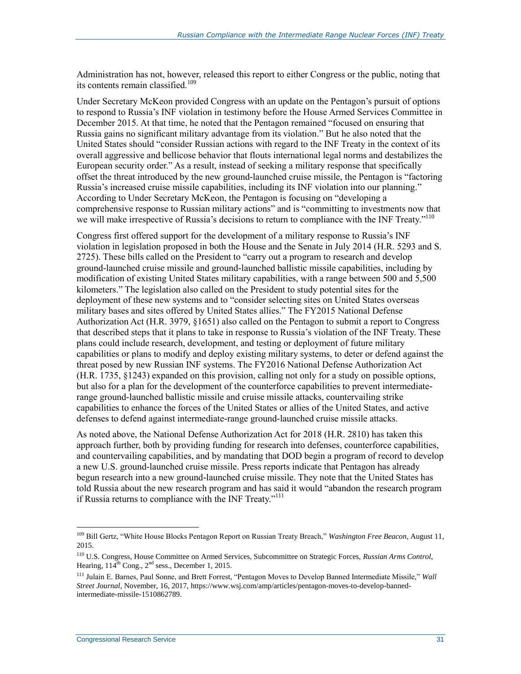Administration has not, however, released this report to either Congress or the public, noting that its contents remain classified.<sup>109</sup>

Under Secretary McKeon provided Congress with an update on the Pentagon's pursuit of options to respond to Russia's INF violation in testimony before the House Armed Services Committee in December 2015. At that time, he noted that the Pentagon remained "focused on ensuring that Russia gains no significant military advantage from its violation." But he also noted that the United States should "consider Russian actions with regard to the INF Treaty in the context of its overall aggressive and bellicose behavior that flouts international legal norms and destabilizes the European security order." As a result, instead of seeking a military response that specifically offset the threat introduced by the new ground-launched cruise missile, the Pentagon is "factoring Russia's increased cruise missile capabilities, including its INF violation into our planning." According to Under Secretary McKeon, the Pentagon is focusing on "developing a comprehensive response to Russian military actions" and is "committing to investments now that we will make irrespective of Russia's decisions to return to compliance with the INF Treaty."<sup>110</sup>

Congress first offered support for the development of a military response to Russia's INF violation in legislation proposed in both the House and the Senate in July 2014 (H.R. 5293 and S. 2725). These bills called on the President to "carry out a program to research and develop ground-launched cruise missile and ground-launched ballistic missile capabilities, including by modification of existing United States military capabilities, with a range between 500 and 5,500 kilometers." The legislation also called on the President to study potential sites for the deployment of these new systems and to "consider selecting sites on United States overseas military bases and sites offered by United States allies." The FY2015 National Defense Authorization Act (H.R. 3979, §1651) also called on the Pentagon to submit a report to Congress that described steps that it plans to take in response to Russia's violation of the INF Treaty. These plans could include research, development, and testing or deployment of future military capabilities or plans to modify and deploy existing military systems, to deter or defend against the threat posed by new Russian INF systems. The FY2016 National Defense Authorization Act (H.R. 1735, §1243) expanded on this provision, calling not only for a study on possible options, but also for a plan for the development of the counterforce capabilities to prevent intermediaterange ground-launched ballistic missile and cruise missile attacks, countervailing strike capabilities to enhance the forces of the United States or allies of the United States, and active defenses to defend against intermediate-range ground-launched cruise missile attacks.

As noted above, the National Defense Authorization Act for 2018 (H.R. 2810) has taken this approach further, both by providing funding for research into defenses, counterforce capabilities, and countervailing capabilities, and by mandating that DOD begin a program of record to develop a new U.S. ground-launched cruise missile. Press reports indicate that Pentagon has already begun research into a new ground-launched cruise missile. They note that the United States has told Russia about the new research program and has said it would "abandon the research program if Russia returns to compliance with the INF Treaty."<sup>111</sup>

<sup>109</sup> Bill Gertz, "White House Blocks Pentagon Report on Russian Treaty Breach," *Washington Free Beacon*, August 11, 2015.

<sup>110</sup> U.S. Congress, House Committee on Armed Services, Subcommittee on Strategic Forces, *Russian Arms Control*, Hearing,  $114^{th}$  Cong.,  $2^{nd}$  sess., December 1, 2015.

<sup>111</sup> Julain E. Barnes, Paul Sonne, and Brett Forrest, "Pentagon Moves to Develop Banned Intermediate Missile," *Wall Street Journal*, November, 16, 2017, https://www.wsj.com/amp/articles/pentagon-moves-to-develop-bannedintermediate-missile-1510862789.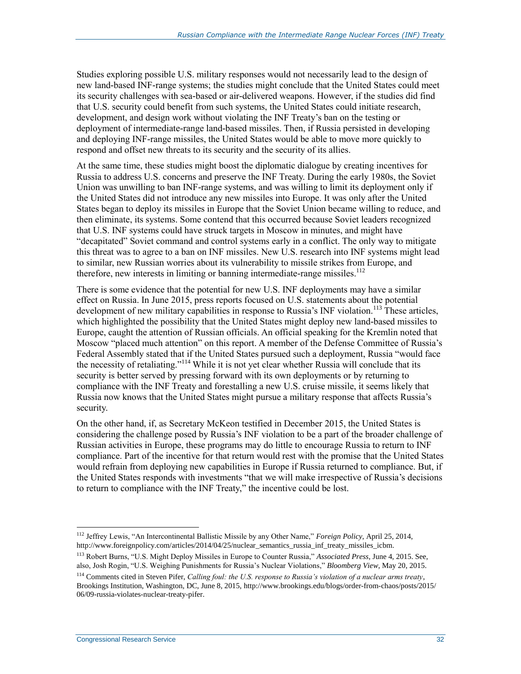Studies exploring possible U.S. military responses would not necessarily lead to the design of new land-based INF-range systems; the studies might conclude that the United States could meet its security challenges with sea-based or air-delivered weapons. However, if the studies did find that U.S. security could benefit from such systems, the United States could initiate research, development, and design work without violating the INF Treaty's ban on the testing or deployment of intermediate-range land-based missiles. Then, if Russia persisted in developing and deploying INF-range missiles, the United States would be able to move more quickly to respond and offset new threats to its security and the security of its allies.

At the same time, these studies might boost the diplomatic dialogue by creating incentives for Russia to address U.S. concerns and preserve the INF Treaty. During the early 1980s, the Soviet Union was unwilling to ban INF-range systems, and was willing to limit its deployment only if the United States did not introduce any new missiles into Europe. It was only after the United States began to deploy its missiles in Europe that the Soviet Union became willing to reduce, and then eliminate, its systems. Some contend that this occurred because Soviet leaders recognized that U.S. INF systems could have struck targets in Moscow in minutes, and might have "decapitated" Soviet command and control systems early in a conflict. The only way to mitigate this threat was to agree to a ban on INF missiles. New U.S. research into INF systems might lead to similar, new Russian worries about its vulnerability to missile strikes from Europe, and therefore, new interests in limiting or banning intermediate-range missiles.<sup>112</sup>

There is some evidence that the potential for new U.S. INF deployments may have a similar effect on Russia. In June 2015, press reports focused on U.S. statements about the potential development of new military capabilities in response to Russia's INF violation.<sup>113</sup> These articles, which highlighted the possibility that the United States might deploy new land-based missiles to Europe, caught the attention of Russian officials. An official speaking for the Kremlin noted that Moscow "placed much attention" on this report. A member of the Defense Committee of Russia's Federal Assembly stated that if the United States pursued such a deployment, Russia "would face the necessity of retaliating."<sup>114</sup> While it is not yet clear whether Russia will conclude that its security is better served by pressing forward with its own deployments or by returning to compliance with the INF Treaty and forestalling a new U.S. cruise missile, it seems likely that Russia now knows that the United States might pursue a military response that affects Russia's security.

On the other hand, if, as Secretary McKeon testified in December 2015, the United States is considering the challenge posed by Russia's INF violation to be a part of the broader challenge of Russian activities in Europe, these programs may do little to encourage Russia to return to INF compliance. Part of the incentive for that return would rest with the promise that the United States would refrain from deploying new capabilities in Europe if Russia returned to compliance. But, if the United States responds with investments "that we will make irrespective of Russia's decisions to return to compliance with the INF Treaty," the incentive could be lost.

 $\overline{a}$ <sup>112</sup> Jeffrey Lewis, "An Intercontinental Ballistic Missile by any Other Name," *Foreign Policy*, April 25, 2014, http://www.foreignpolicy.com/articles/2014/04/25/nuclear\_semantics\_russia\_inf\_treaty\_missiles\_icbm.

<sup>113</sup> Robert Burns, "U.S. Might Deploy Missiles in Europe to Counter Russia," *Associated Press*, June 4, 2015. See, also, Josh Rogin, "U.S. Weighing Punishments for Russia's Nuclear Violations," *Bloomberg View,* May 20, 2015.

<sup>114</sup> Comments cited in Steven Pifer, *Calling foul: the U.S. response to Russia's violation of a nuclear arms treaty*, Brookings Institution, Washington, DC, June 8, 2015, http://www.brookings.edu/blogs/order-from-chaos/posts/2015/ 06/09-russia-violates-nuclear-treaty-pifer.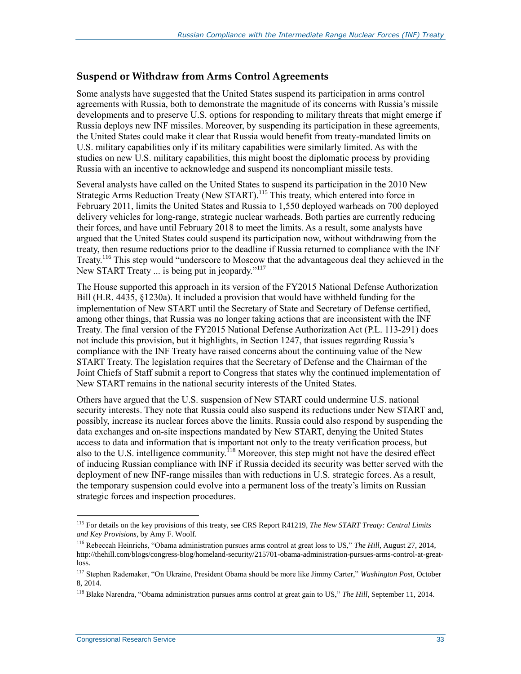#### **Suspend or Withdraw from Arms Control Agreements**

Some analysts have suggested that the United States suspend its participation in arms control agreements with Russia, both to demonstrate the magnitude of its concerns with Russia's missile developments and to preserve U.S. options for responding to military threats that might emerge if Russia deploys new INF missiles. Moreover, by suspending its participation in these agreements, the United States could make it clear that Russia would benefit from treaty-mandated limits on U.S. military capabilities only if its military capabilities were similarly limited. As with the studies on new U.S. military capabilities, this might boost the diplomatic process by providing Russia with an incentive to acknowledge and suspend its noncompliant missile tests.

Several analysts have called on the United States to suspend its participation in the 2010 New Strategic Arms Reduction Treaty (New START).<sup>115</sup> This treaty, which entered into force in February 2011, limits the United States and Russia to 1,550 deployed warheads on 700 deployed delivery vehicles for long-range, strategic nuclear warheads. Both parties are currently reducing their forces, and have until February 2018 to meet the limits. As a result, some analysts have argued that the United States could suspend its participation now, without withdrawing from the treaty, then resume reductions prior to the deadline if Russia returned to compliance with the INF Treaty.<sup>116</sup> This step would "underscore to Moscow that the advantageous deal they achieved in the New START Treaty ... is being put in jeopardy."<sup>117</sup>

The House supported this approach in its version of the FY2015 National Defense Authorization Bill (H.R. 4435, §1230a). It included a provision that would have withheld funding for the implementation of New START until the Secretary of State and Secretary of Defense certified, among other things, that Russia was no longer taking actions that are inconsistent with the INF Treaty. The final version of the FY2015 National Defense Authorization Act (P.L. 113-291) does not include this provision, but it highlights, in Section 1247, that issues regarding Russia's compliance with the INF Treaty have raised concerns about the continuing value of the New START Treaty. The legislation requires that the Secretary of Defense and the Chairman of the Joint Chiefs of Staff submit a report to Congress that states why the continued implementation of New START remains in the national security interests of the United States.

Others have argued that the U.S. suspension of New START could undermine U.S. national security interests. They note that Russia could also suspend its reductions under New START and, possibly, increase its nuclear forces above the limits. Russia could also respond by suspending the data exchanges and on-site inspections mandated by New START, denying the United States access to data and information that is important not only to the treaty verification process, but also to the U.S. intelligence community.<sup>118</sup> Moreover, this step might not have the desired effect of inducing Russian compliance with INF if Russia decided its security was better served with the deployment of new INF-range missiles than with reductions in U.S. strategic forces. As a result, the temporary suspension could evolve into a permanent loss of the treaty's limits on Russian strategic forces and inspection procedures.

<sup>115</sup> For details on the key provisions of this treaty, see CRS Report R41219, *The New START Treaty: Central Limits and Key Provisions*, by Amy F. Woolf.

<sup>116</sup> Rebeccah Heinrichs, "Obama administration pursues arms control at great loss to US," *The Hill*, August 27, 2014, http://thehill.com/blogs/congress-blog/homeland-security/215701-obama-administration-pursues-arms-control-at-greatloss.

<sup>117</sup> Stephen Rademaker, "On Ukraine, President Obama should be more like Jimmy Carter," *Washington Post*, October 8, 2014.

<sup>118</sup> Blake Narendra, "Obama administration pursues arms control at great gain to US," *The Hill*, September 11, 2014.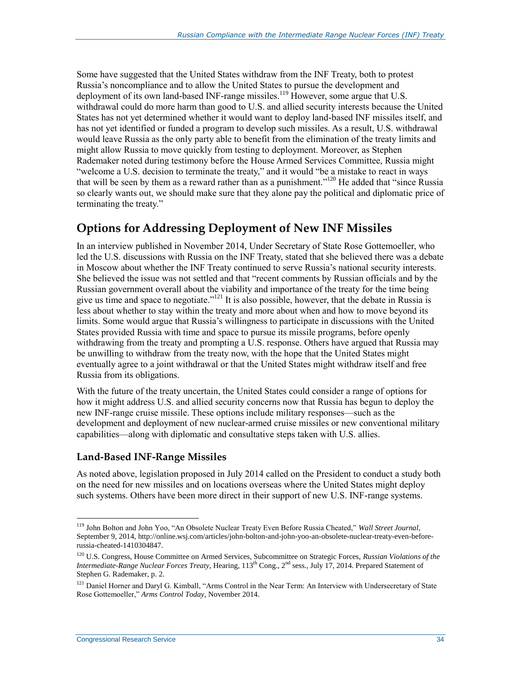Some have suggested that the United States withdraw from the INF Treaty, both to protest Russia's noncompliance and to allow the United States to pursue the development and deployment of its own land-based INF-range missiles.<sup>119</sup> However, some argue that U.S. withdrawal could do more harm than good to U.S. and allied security interests because the United States has not yet determined whether it would want to deploy land-based INF missiles itself, and has not yet identified or funded a program to develop such missiles. As a result, U.S. withdrawal would leave Russia as the only party able to benefit from the elimination of the treaty limits and might allow Russia to move quickly from testing to deployment. Moreover, as Stephen Rademaker noted during testimony before the House Armed Services Committee, Russia might "welcome a U.S. decision to terminate the treaty," and it would "be a mistake to react in ways that will be seen by them as a reward rather than as a punishment."<sup>120</sup> He added that "since Russia so clearly wants out, we should make sure that they alone pay the political and diplomatic price of terminating the treaty."

### **Options for Addressing Deployment of New INF Missiles**

In an interview published in November 2014, Under Secretary of State Rose Gottemoeller, who led the U.S. discussions with Russia on the INF Treaty, stated that she believed there was a debate in Moscow about whether the INF Treaty continued to serve Russia's national security interests. She believed the issue was not settled and that "recent comments by Russian officials and by the Russian government overall about the viability and importance of the treaty for the time being give us time and space to negotiate."<sup>121</sup> It is also possible, however, that the debate in Russia is less about whether to stay within the treaty and more about when and how to move beyond its limits. Some would argue that Russia's willingness to participate in discussions with the United States provided Russia with time and space to pursue its missile programs, before openly withdrawing from the treaty and prompting a U.S. response. Others have argued that Russia may be unwilling to withdraw from the treaty now, with the hope that the United States might eventually agree to a joint withdrawal or that the United States might withdraw itself and free Russia from its obligations.

With the future of the treaty uncertain, the United States could consider a range of options for how it might address U.S. and allied security concerns now that Russia has begun to deploy the new INF-range cruise missile. These options include military responses—such as the development and deployment of new nuclear-armed cruise missiles or new conventional military capabilities—along with diplomatic and consultative steps taken with U.S. allies.

#### **Land-Based INF-Range Missiles**

As noted above, legislation proposed in July 2014 called on the President to conduct a study both on the need for new missiles and on locations overseas where the United States might deploy such systems. Others have been more direct in their support of new U.S. INF-range systems.

<sup>119</sup> John Bolton and John Yoo, "An Obsolete Nuclear Treaty Even Before Russia Cheated," *Wall Street Journal*, September 9, 2014, http://online.wsj.com/articles/john-bolton-and-john-yoo-an-obsolete-nuclear-treaty-even-beforerussia-cheated-1410304847.

<sup>120</sup> U.S. Congress, House Committee on Armed Services, Subcommittee on Strategic Forces, *Russian Violations of the Intermediate-Range Nuclear Forces Treaty*, Hearing, 113<sup>th</sup> Cong., 2<sup>nd</sup> sess., July 17, 2014. Prepared Statement of Stephen G. Rademaker, p. 2.

<sup>&</sup>lt;sup>121</sup> Daniel Horner and Daryl G. Kimball, "Arms Control in the Near Term: An Interview with Undersecretary of State Rose Gottemoeller," *Arms Control Today*, November 2014.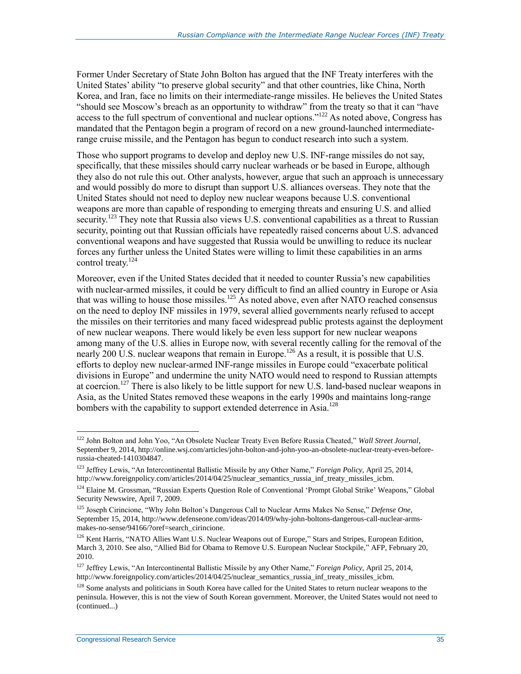Former Under Secretary of State John Bolton has argued that the INF Treaty interferes with the United States' ability "to preserve global security" and that other countries, like China, North Korea, and Iran, face no limits on their intermediate-range missiles. He believes the United States "should see Moscow's breach as an opportunity to withdraw" from the treaty so that it can "have access to the full spectrum of conventional and nuclear options."<sup>122</sup> As noted above, Congress has mandated that the Pentagon begin a program of record on a new ground-launched intermediaterange cruise missile, and the Pentagon has begun to conduct research into such a system.

Those who support programs to develop and deploy new U.S. INF-range missiles do not say, specifically, that these missiles should carry nuclear warheads or be based in Europe, although they also do not rule this out. Other analysts, however, argue that such an approach is unnecessary and would possibly do more to disrupt than support U.S. alliances overseas. They note that the United States should not need to deploy new nuclear weapons because U.S. conventional weapons are more than capable of responding to emerging threats and ensuring U.S. and allied security.<sup>123</sup> They note that Russia also views U.S. conventional capabilities as a threat to Russian security, pointing out that Russian officials have repeatedly raised concerns about U.S. advanced conventional weapons and have suggested that Russia would be unwilling to reduce its nuclear forces any further unless the United States were willing to limit these capabilities in an arms control treaty.<sup>124</sup>

Moreover, even if the United States decided that it needed to counter Russia's new capabilities with nuclear-armed missiles, it could be very difficult to find an allied country in Europe or Asia that was willing to house those missiles.<sup>125</sup> As noted above, even after NATO reached consensus on the need to deploy INF missiles in 1979, several allied governments nearly refused to accept the missiles on their territories and many faced widespread public protests against the deployment of new nuclear weapons. There would likely be even less support for new nuclear weapons among many of the U.S. allies in Europe now, with several recently calling for the removal of the nearly 200 U.S. nuclear weapons that remain in Europe.<sup>126</sup> As a result, it is possible that U.S. efforts to deploy new nuclear-armed INF-range missiles in Europe could "exacerbate political divisions in Europe" and undermine the unity NATO would need to respond to Russian attempts at coercion.<sup>127</sup> There is also likely to be little support for new U.S. land-based nuclear weapons in Asia, as the United States removed these weapons in the early 1990s and maintains long-range bombers with the capability to support extended deterrence in Asia.<sup>128</sup>

<sup>122</sup> John Bolton and John Yoo, "An Obsolete Nuclear Treaty Even Before Russia Cheated," *Wall Street Journal*, September 9, 2014, http://online.wsj.com/articles/john-bolton-and-john-yoo-an-obsolete-nuclear-treaty-even-beforerussia-cheated-1410304847.

<sup>123</sup> Jeffrey Lewis, "An Intercontinental Ballistic Missile by any Other Name," *Foreign Policy*, April 25, 2014, http://www.foreignpolicy.com/articles/2014/04/25/nuclear\_semantics\_russia\_inf\_treaty\_missiles\_icbm.

<sup>124</sup> Elaine M. Grossman, "Russian Experts Question Role of Conventional 'Prompt Global Strike' Weapons," Global Security Newswire, April 7, 2009.

<sup>125</sup> Joseph Cirincione, "Why John Bolton's Dangerous Call to Nuclear Arms Makes No Sense," *Defense One*, September 15, 2014, http://www.defenseone.com/ideas/2014/09/why-john-boltons-dangerous-call-nuclear-armsmakes-no-sense/94166/?oref=search\_cirincione.

<sup>&</sup>lt;sup>126</sup> Kent Harris, "NATO Allies Want U.S. Nuclear Weapons out of Europe," Stars and Stripes, European Edition, March 3, 2010. See also, "Allied Bid for Obama to Remove U.S. European Nuclear Stockpile," AFP, February 20, 2010.

<sup>127</sup> Jeffrey Lewis, "An Intercontinental Ballistic Missile by any Other Name," *Foreign Policy*, April 25, 2014, http://www.foreignpolicy.com/articles/2014/04/25/nuclear\_semantics\_russia\_inf\_treaty\_missiles\_icbm.

<sup>&</sup>lt;sup>128</sup> Some analysts and politicians in South Korea have called for the United States to return nuclear weapons to the peninsula. However, this is not the view of South Korean government. Moreover, the United States would not need to (continued...)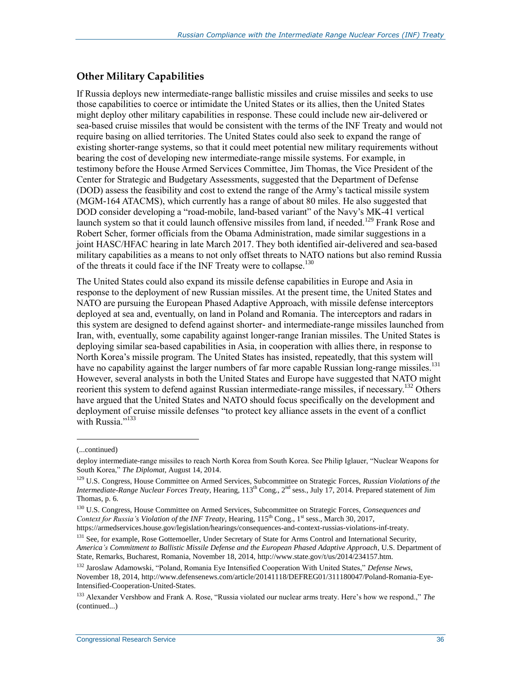#### **Other Military Capabilities**

If Russia deploys new intermediate-range ballistic missiles and cruise missiles and seeks to use those capabilities to coerce or intimidate the United States or its allies, then the United States might deploy other military capabilities in response. These could include new air-delivered or sea-based cruise missiles that would be consistent with the terms of the INF Treaty and would not require basing on allied territories. The United States could also seek to expand the range of existing shorter-range systems, so that it could meet potential new military requirements without bearing the cost of developing new intermediate-range missile systems. For example, in testimony before the House Armed Services Committee, Jim Thomas, the Vice President of the Center for Strategic and Budgetary Assessments, suggested that the Department of Defense (DOD) assess the feasibility and cost to extend the range of the Army's tactical missile system (MGM-164 ATACMS), which currently has a range of about 80 miles. He also suggested that DOD consider developing a "road-mobile, land-based variant" of the Navy's MK-41 vertical launch system so that it could launch offensive missiles from land, if needed.<sup>129</sup> Frank Rose and Robert Scher, former officials from the Obama Administration, made similar suggestions in a joint HASC/HFAC hearing in late March 2017. They both identified air-delivered and sea-based military capabilities as a means to not only offset threats to NATO nations but also remind Russia of the threats it could face if the INF Treaty were to collapse.<sup>130</sup>

The United States could also expand its missile defense capabilities in Europe and Asia in response to the deployment of new Russian missiles. At the present time, the United States and NATO are pursuing the European Phased Adaptive Approach, with missile defense interceptors deployed at sea and, eventually, on land in Poland and Romania. The interceptors and radars in this system are designed to defend against shorter- and intermediate-range missiles launched from Iran, with, eventually, some capability against longer-range Iranian missiles. The United States is deploying similar sea-based capabilities in Asia, in cooperation with allies there, in response to North Korea's missile program. The United States has insisted, repeatedly, that this system will have no capability against the larger numbers of far more capable Russian long-range missiles.<sup>131</sup> However, several analysts in both the United States and Europe have suggested that NATO might reorient this system to defend against Russian intermediate-range missiles, if necessary.<sup>132</sup> Others have argued that the United States and NATO should focus specifically on the development and deployment of cruise missile defenses "to protect key alliance assets in the event of a conflict with Russia."<sup>133</sup>

l

<sup>(...</sup>continued)

deploy intermediate-range missiles to reach North Korea from South Korea. See Philip Iglauer, "Nuclear Weapons for South Korea," *The Diplomat*, August 14, 2014.

<sup>129</sup> U.S. Congress, House Committee on Armed Services, Subcommittee on Strategic Forces, *Russian Violations of the Intermediate-Range Nuclear Forces Treaty*, Hearing, 113th Cong., 2nd sess., July 17, 2014. Prepared statement of Jim Thomas, p. 6.

<sup>130</sup> U.S. Congress, House Committee on Armed Services, Subcommittee on Strategic Forces, *Consequences and Context for Russia's Violation of the INF Treaty*, Hearing, 115<sup>th</sup> Cong., 1<sup>st</sup> sess., March 30, 2017,

https://armedservices.house.gov/legislation/hearings/consequences-and-context-russias-violations-inf-treaty.

<sup>&</sup>lt;sup>131</sup> See, for example, Rose Gottemoeller, Under Secretary of State for Arms Control and International Security, *America's Commitment to Ballistic Missile Defense and the European Phased Adaptive Approach*, U.S. Department of State, Remarks, Bucharest, Romania, November 18, 2014, http://www.state.gov/t/us/2014/234157.htm.

<sup>132</sup> Jaroslaw Adamowski, "Poland, Romania Eye Intensified Cooperation With United States," *Defense News*, November 18, 2014, http://www.defensenews.com/article/20141118/DEFREG01/311180047/Poland-Romania-Eye-Intensified-Cooperation-United-States.

<sup>133</sup> Alexander Vershbow and Frank A. Rose, "Russia violated our nuclear arms treaty. Here's how we respond.," *The*  (continued...)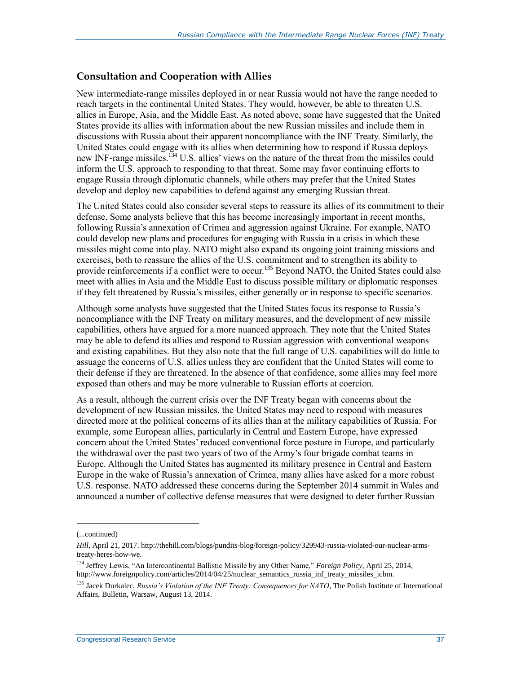#### **Consultation and Cooperation with Allies**

New intermediate-range missiles deployed in or near Russia would not have the range needed to reach targets in the continental United States. They would, however, be able to threaten U.S. allies in Europe, Asia, and the Middle East. As noted above, some have suggested that the United States provide its allies with information about the new Russian missiles and include them in discussions with Russia about their apparent noncompliance with the INF Treaty. Similarly, the United States could engage with its allies when determining how to respond if Russia deploys new INF-range missiles.<sup>134</sup> U.S. allies' views on the nature of the threat from the missiles could inform the U.S. approach to responding to that threat. Some may favor continuing efforts to engage Russia through diplomatic channels, while others may prefer that the United States develop and deploy new capabilities to defend against any emerging Russian threat.

The United States could also consider several steps to reassure its allies of its commitment to their defense. Some analysts believe that this has become increasingly important in recent months, following Russia's annexation of Crimea and aggression against Ukraine. For example, NATO could develop new plans and procedures for engaging with Russia in a crisis in which these missiles might come into play. NATO might also expand its ongoing joint training missions and exercises, both to reassure the allies of the U.S. commitment and to strengthen its ability to provide reinforcements if a conflict were to occur.<sup>135</sup> Beyond NATO, the United States could also meet with allies in Asia and the Middle East to discuss possible military or diplomatic responses if they felt threatened by Russia's missiles, either generally or in response to specific scenarios.

Although some analysts have suggested that the United States focus its response to Russia's noncompliance with the INF Treaty on military measures, and the development of new missile capabilities, others have argued for a more nuanced approach. They note that the United States may be able to defend its allies and respond to Russian aggression with conventional weapons and existing capabilities. But they also note that the full range of U.S. capabilities will do little to assuage the concerns of U.S. allies unless they are confident that the United States will come to their defense if they are threatened. In the absence of that confidence, some allies may feel more exposed than others and may be more vulnerable to Russian efforts at coercion.

As a result, although the current crisis over the INF Treaty began with concerns about the development of new Russian missiles, the United States may need to respond with measures directed more at the political concerns of its allies than at the military capabilities of Russia. For example, some European allies, particularly in Central and Eastern Europe, have expressed concern about the United States' reduced conventional force posture in Europe, and particularly the withdrawal over the past two years of two of the Army's four brigade combat teams in Europe. Although the United States has augmented its military presence in Central and Eastern Europe in the wake of Russia's annexation of Crimea, many allies have asked for a more robust U.S. response. NATO addressed these concerns during the September 2014 summit in Wales and announced a number of collective defense measures that were designed to deter further Russian

<sup>(...</sup>continued)

*Hill*, April 21, 2017. http://thehill.com/blogs/pundits-blog/foreign-policy/329943-russia-violated-our-nuclear-armstreaty-heres-how-we.

<sup>134</sup> Jeffrey Lewis, "An Intercontinental Ballistic Missile by any Other Name," *Foreign Policy*, April 25, 2014, http://www.foreignpolicy.com/articles/2014/04/25/nuclear\_semantics\_russia\_inf\_treaty\_missiles\_icbm.

<sup>&</sup>lt;sup>135</sup> Jacek Durkalec, *Russia's Violation of the INF Treaty: Consequences for NATO*, The Polish Institute of International Affairs, Bulletin, Warsaw, August 13, 2014.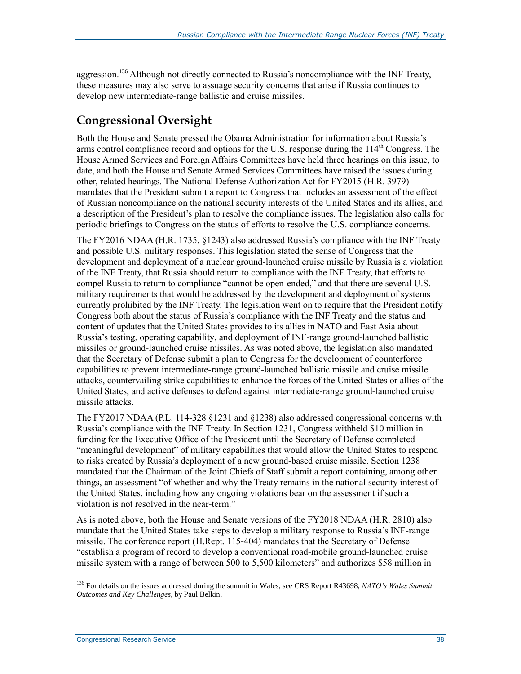aggression.<sup>136</sup> Although not directly connected to Russia's noncompliance with the INF Treaty, these measures may also serve to assuage security concerns that arise if Russia continues to develop new intermediate-range ballistic and cruise missiles.

## **Congressional Oversight**

Both the House and Senate pressed the Obama Administration for information about Russia's arms control compliance record and options for the U.S. response during the 114<sup>th</sup> Congress. The House Armed Services and Foreign Affairs Committees have held three hearings on this issue, to date, and both the House and Senate Armed Services Committees have raised the issues during other, related hearings. The National Defense Authorization Act for FY2015 (H.R. 3979) mandates that the President submit a report to Congress that includes an assessment of the effect of Russian noncompliance on the national security interests of the United States and its allies, and a description of the President's plan to resolve the compliance issues. The legislation also calls for periodic briefings to Congress on the status of efforts to resolve the U.S. compliance concerns.

The FY2016 NDAA (H.R. 1735, §1243) also addressed Russia's compliance with the INF Treaty and possible U.S. military responses. This legislation stated the sense of Congress that the development and deployment of a nuclear ground-launched cruise missile by Russia is a violation of the INF Treaty, that Russia should return to compliance with the INF Treaty, that efforts to compel Russia to return to compliance "cannot be open-ended," and that there are several U.S. military requirements that would be addressed by the development and deployment of systems currently prohibited by the INF Treaty. The legislation went on to require that the President notify Congress both about the status of Russia's compliance with the INF Treaty and the status and content of updates that the United States provides to its allies in NATO and East Asia about Russia's testing, operating capability, and deployment of INF-range ground-launched ballistic missiles or ground-launched cruise missiles. As was noted above, the legislation also mandated that the Secretary of Defense submit a plan to Congress for the development of counterforce capabilities to prevent intermediate-range ground-launched ballistic missile and cruise missile attacks, countervailing strike capabilities to enhance the forces of the United States or allies of the United States, and active defenses to defend against intermediate-range ground-launched cruise missile attacks.

The FY2017 NDAA (P.L. 114-328 §1231 and §1238) also addressed congressional concerns with Russia's compliance with the INF Treaty. In Section 1231, Congress withheld \$10 million in funding for the Executive Office of the President until the Secretary of Defense completed "meaningful development" of military capabilities that would allow the United States to respond to risks created by Russia's deployment of a new ground-based cruise missile. Section 1238 mandated that the Chairman of the Joint Chiefs of Staff submit a report containing, among other things, an assessment "of whether and why the Treaty remains in the national security interest of the United States, including how any ongoing violations bear on the assessment if such a violation is not resolved in the near-term."

As is noted above, both the House and Senate versions of the FY2018 NDAA (H.R. 2810) also mandate that the United States take steps to develop a military response to Russia's INF-range missile. The conference report (H.Rept. 115-404) mandates that the Secretary of Defense "establish a program of record to develop a conventional road-mobile ground-launched cruise missile system with a range of between 500 to 5,500 kilometers" and authorizes \$58 million in

<sup>136</sup> For details on the issues addressed during the summit in Wales, see CRS Report R43698, *NATO's Wales Summit: Outcomes and Key Challenges*, by Paul Belkin.